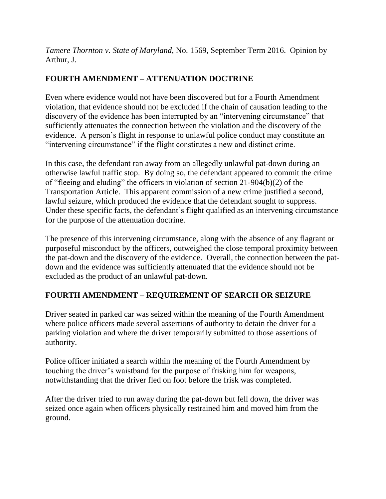*Tamere Thornton v. State of Maryland*, No. 1569, September Term 2016. Opinion by Arthur, J.

# **FOURTH AMENDMENT – ATTENUATION DOCTRINE**

Even where evidence would not have been discovered but for a Fourth Amendment violation, that evidence should not be excluded if the chain of causation leading to the discovery of the evidence has been interrupted by an "intervening circumstance" that sufficiently attenuates the connection between the violation and the discovery of the evidence. A person's flight in response to unlawful police conduct may constitute an "intervening circumstance" if the flight constitutes a new and distinct crime.

In this case, the defendant ran away from an allegedly unlawful pat-down during an otherwise lawful traffic stop. By doing so, the defendant appeared to commit the crime of "fleeing and eluding" the officers in violation of section 21-904(b)(2) of the Transportation Article. This apparent commission of a new crime justified a second, lawful seizure, which produced the evidence that the defendant sought to suppress. Under these specific facts, the defendant's flight qualified as an intervening circumstance for the purpose of the attenuation doctrine.

The presence of this intervening circumstance, along with the absence of any flagrant or purposeful misconduct by the officers, outweighed the close temporal proximity between the pat-down and the discovery of the evidence. Overall, the connection between the patdown and the evidence was sufficiently attenuated that the evidence should not be excluded as the product of an unlawful pat-down.

# **FOURTH AMENDMENT – REQUIREMENT OF SEARCH OR SEIZURE**

Driver seated in parked car was seized within the meaning of the Fourth Amendment where police officers made several assertions of authority to detain the driver for a parking violation and where the driver temporarily submitted to those assertions of authority.

Police officer initiated a search within the meaning of the Fourth Amendment by touching the driver's waistband for the purpose of frisking him for weapons, notwithstanding that the driver fled on foot before the frisk was completed.

After the driver tried to run away during the pat-down but fell down, the driver was seized once again when officers physically restrained him and moved him from the ground.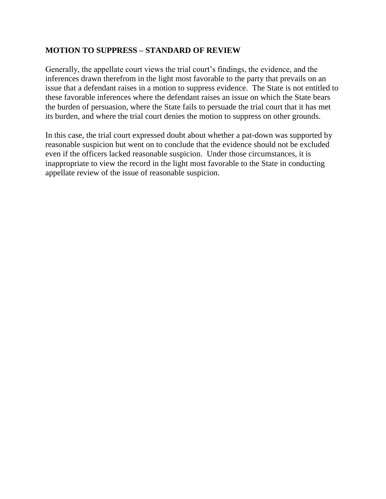# **MOTION TO SUPPRESS – STANDARD OF REVIEW**

Generally, the appellate court views the trial court's findings, the evidence, and the inferences drawn therefrom in the light most favorable to the party that prevails on an issue that a defendant raises in a motion to suppress evidence. The State is not entitled to these favorable inferences where the defendant raises an issue on which the State bears the burden of persuasion, where the State fails to persuade the trial court that it has met its burden, and where the trial court denies the motion to suppress on other grounds.

In this case, the trial court expressed doubt about whether a pat-down was supported by reasonable suspicion but went on to conclude that the evidence should not be excluded even if the officers lacked reasonable suspicion. Under those circumstances, it is inappropriate to view the record in the light most favorable to the State in conducting appellate review of the issue of reasonable suspicion.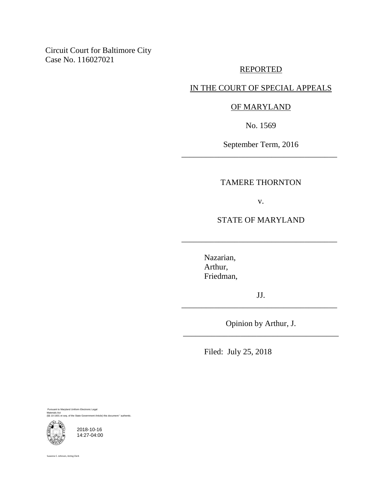Circuit Court for Baltimore City Case No. 116027021

# REPORTED

# IN THE COURT OF SPECIAL APPEALS

# OF MARYLAND

No. 1569

September Term, 2016 \_\_\_\_\_\_\_\_\_\_\_\_\_\_\_\_\_\_\_\_\_\_\_\_\_\_\_\_\_\_\_\_\_\_\_\_\_\_

# TAMERE THORNTON

v.

STATE OF MARYLAND

\_\_\_\_\_\_\_\_\_\_\_\_\_\_\_\_\_\_\_\_\_\_\_\_\_\_\_\_\_\_\_\_\_\_\_\_\_\_

Nazarian, Arthur, Friedman,

JJ. \_\_\_\_\_\_\_\_\_\_\_\_\_\_\_\_\_\_\_\_\_\_\_\_\_\_\_\_\_\_\_\_\_\_\_\_\_\_

Opinion by Arthur, J. \_\_\_\_\_\_\_\_\_\_\_\_\_\_\_\_\_\_\_\_\_\_\_\_\_\_\_\_\_\_\_\_\_\_\_\_\_\_

Filed: July 25, 2018

Pursuant to Maryland Uniform Electronic Legal Materials Act (§§ 10-1601 et seq. of the State Government Article) this document " authentic.



2018-10-16 14:27-04:00

Suzanne C. Johnson, Acting Clerk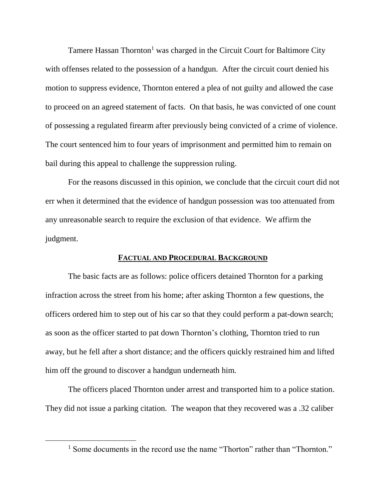Tamere Hassan Thornton<sup>1</sup> was charged in the Circuit Court for Baltimore City with offenses related to the possession of a handgun. After the circuit court denied his motion to suppress evidence, Thornton entered a plea of not guilty and allowed the case to proceed on an agreed statement of facts. On that basis, he was convicted of one count of possessing a regulated firearm after previously being convicted of a crime of violence. The court sentenced him to four years of imprisonment and permitted him to remain on bail during this appeal to challenge the suppression ruling.

For the reasons discussed in this opinion, we conclude that the circuit court did not err when it determined that the evidence of handgun possession was too attenuated from any unreasonable search to require the exclusion of that evidence. We affirm the judgment.

# **FACTUAL AND PROCEDURAL BACKGROUND**

The basic facts are as follows: police officers detained Thornton for a parking infraction across the street from his home; after asking Thornton a few questions, the officers ordered him to step out of his car so that they could perform a pat-down search; as soon as the officer started to pat down Thornton's clothing, Thornton tried to run away, but he fell after a short distance; and the officers quickly restrained him and lifted him off the ground to discover a handgun underneath him.

The officers placed Thornton under arrest and transported him to a police station. They did not issue a parking citation. The weapon that they recovered was a .32 caliber

<sup>&</sup>lt;sup>1</sup> Some documents in the record use the name "Thorton" rather than "Thornton."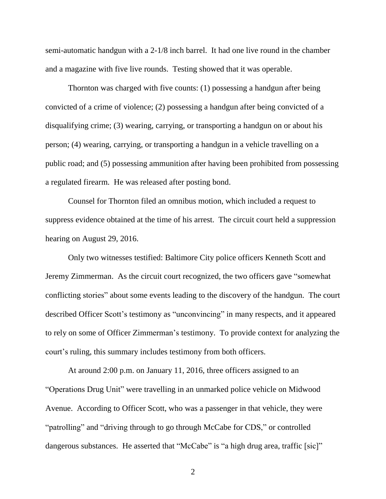semi-automatic handgun with a 2-1/8 inch barrel. It had one live round in the chamber and a magazine with five live rounds. Testing showed that it was operable.

Thornton was charged with five counts: (1) possessing a handgun after being convicted of a crime of violence; (2) possessing a handgun after being convicted of a disqualifying crime; (3) wearing, carrying, or transporting a handgun on or about his person; (4) wearing, carrying, or transporting a handgun in a vehicle travelling on a public road; and (5) possessing ammunition after having been prohibited from possessing a regulated firearm. He was released after posting bond.

Counsel for Thornton filed an omnibus motion, which included a request to suppress evidence obtained at the time of his arrest. The circuit court held a suppression hearing on August 29, 2016.

Only two witnesses testified: Baltimore City police officers Kenneth Scott and Jeremy Zimmerman. As the circuit court recognized, the two officers gave "somewhat conflicting stories" about some events leading to the discovery of the handgun. The court described Officer Scott's testimony as "unconvincing" in many respects, and it appeared to rely on some of Officer Zimmerman's testimony. To provide context for analyzing the court's ruling, this summary includes testimony from both officers.

At around 2:00 p.m. on January 11, 2016, three officers assigned to an "Operations Drug Unit" were travelling in an unmarked police vehicle on Midwood Avenue. According to Officer Scott, who was a passenger in that vehicle, they were "patrolling" and "driving through to go through McCabe for CDS," or controlled dangerous substances. He asserted that "McCabe" is "a high drug area, traffic [sic]"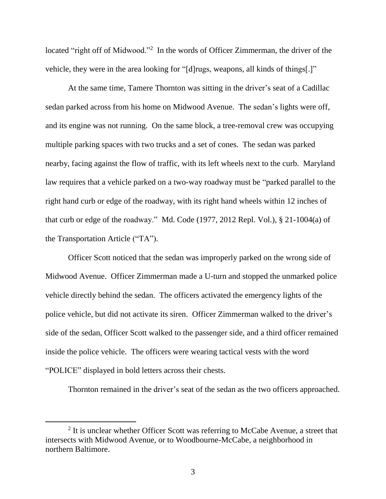located "right off of Midwood."<sup>2</sup> In the words of Officer Zimmerman, the driver of the vehicle, they were in the area looking for "[d]rugs, weapons, all kinds of things[.]"

At the same time, Tamere Thornton was sitting in the driver's seat of a Cadillac sedan parked across from his home on Midwood Avenue. The sedan's lights were off, and its engine was not running. On the same block, a tree-removal crew was occupying multiple parking spaces with two trucks and a set of cones. The sedan was parked nearby, facing against the flow of traffic, with its left wheels next to the curb. Maryland law requires that a vehicle parked on a two-way roadway must be "parked parallel to the right hand curb or edge of the roadway, with its right hand wheels within 12 inches of that curb or edge of the roadway." Md. Code (1977, 2012 Repl. Vol.), § 21-1004(a) of the Transportation Article ("TA").

Officer Scott noticed that the sedan was improperly parked on the wrong side of Midwood Avenue. Officer Zimmerman made a U-turn and stopped the unmarked police vehicle directly behind the sedan. The officers activated the emergency lights of the police vehicle, but did not activate its siren. Officer Zimmerman walked to the driver's side of the sedan, Officer Scott walked to the passenger side, and a third officer remained inside the police vehicle. The officers were wearing tactical vests with the word "POLICE" displayed in bold letters across their chests.

Thornton remained in the driver's seat of the sedan as the two officers approached.

<sup>&</sup>lt;sup>2</sup> It is unclear whether Officer Scott was referring to McCabe Avenue, a street that intersects with Midwood Avenue, or to Woodbourne-McCabe, a neighborhood in northern Baltimore.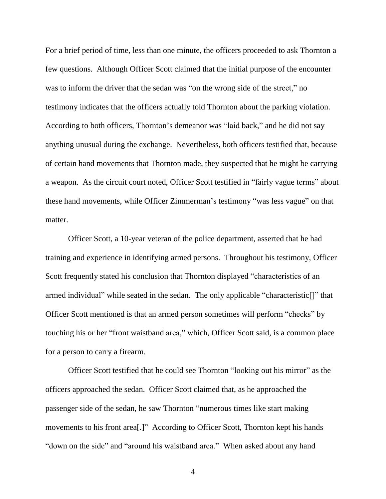For a brief period of time, less than one minute, the officers proceeded to ask Thornton a few questions. Although Officer Scott claimed that the initial purpose of the encounter was to inform the driver that the sedan was "on the wrong side of the street," no testimony indicates that the officers actually told Thornton about the parking violation. According to both officers, Thornton's demeanor was "laid back," and he did not say anything unusual during the exchange. Nevertheless, both officers testified that, because of certain hand movements that Thornton made, they suspected that he might be carrying a weapon. As the circuit court noted, Officer Scott testified in "fairly vague terms" about these hand movements, while Officer Zimmerman's testimony "was less vague" on that matter.

Officer Scott, a 10-year veteran of the police department, asserted that he had training and experience in identifying armed persons. Throughout his testimony, Officer Scott frequently stated his conclusion that Thornton displayed "characteristics of an armed individual" while seated in the sedan. The only applicable "characteristic[]" that Officer Scott mentioned is that an armed person sometimes will perform "checks" by touching his or her "front waistband area," which, Officer Scott said, is a common place for a person to carry a firearm.

Officer Scott testified that he could see Thornton "looking out his mirror" as the officers approached the sedan. Officer Scott claimed that, as he approached the passenger side of the sedan, he saw Thornton "numerous times like start making movements to his front area[.]" According to Officer Scott, Thornton kept his hands "down on the side" and "around his waistband area." When asked about any hand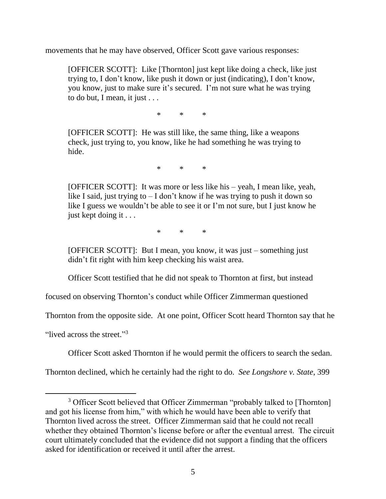movements that he may have observed, Officer Scott gave various responses:

[OFFICER SCOTT]: Like [Thornton] just kept like doing a check, like just trying to, I don't know, like push it down or just (indicating), I don't know, you know, just to make sure it's secured. I'm not sure what he was trying to do but, I mean, it just . . .

 $*$  \* \*

[OFFICER SCOTT]: He was still like, the same thing, like a weapons check, just trying to, you know, like he had something he was trying to hide.

\* \* \*

[OFFICER SCOTT]: It was more or less like his – yeah, I mean like, yeah, like I said, just trying to  $- I$  don't know if he was trying to push it down so like I guess we wouldn't be able to see it or I'm not sure, but I just know he just kept doing it . . .

\* \* \*

[OFFICER SCOTT]: But I mean, you know, it was just – something just didn't fit right with him keep checking his waist area.

Officer Scott testified that he did not speak to Thornton at first, but instead

focused on observing Thornton's conduct while Officer Zimmerman questioned

Thornton from the opposite side. At one point, Officer Scott heard Thornton say that he

"lived across the street."<sup>3</sup>

 $\overline{a}$ 

Officer Scott asked Thornton if he would permit the officers to search the sedan.

Thornton declined, which he certainly had the right to do. *See Longshore v. State*, 399

<sup>&</sup>lt;sup>3</sup> Officer Scott believed that Officer Zimmerman "probably talked to [Thornton] and got his license from him," with which he would have been able to verify that Thornton lived across the street. Officer Zimmerman said that he could not recall whether they obtained Thornton's license before or after the eventual arrest. The circuit court ultimately concluded that the evidence did not support a finding that the officers asked for identification or received it until after the arrest.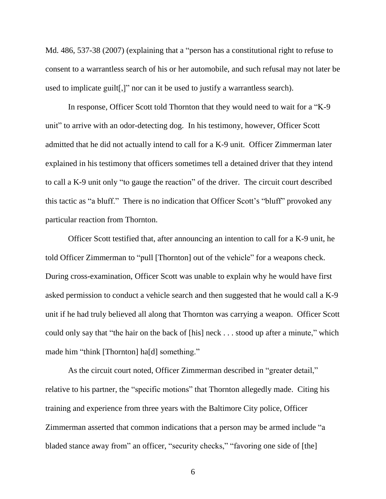Md. 486, 537-38 (2007) (explaining that a "person has a constitutional right to refuse to consent to a warrantless search of his or her automobile, and such refusal may not later be used to implicate guilt[,]" nor can it be used to justify a warrantless search).

In response, Officer Scott told Thornton that they would need to wait for a "K-9 unit" to arrive with an odor-detecting dog. In his testimony, however, Officer Scott admitted that he did not actually intend to call for a K-9 unit. Officer Zimmerman later explained in his testimony that officers sometimes tell a detained driver that they intend to call a K-9 unit only "to gauge the reaction" of the driver. The circuit court described this tactic as "a bluff." There is no indication that Officer Scott's "bluff" provoked any particular reaction from Thornton.

Officer Scott testified that, after announcing an intention to call for a K-9 unit, he told Officer Zimmerman to "pull [Thornton] out of the vehicle" for a weapons check. During cross-examination, Officer Scott was unable to explain why he would have first asked permission to conduct a vehicle search and then suggested that he would call a K-9 unit if he had truly believed all along that Thornton was carrying a weapon. Officer Scott could only say that "the hair on the back of [his] neck . . . stood up after a minute," which made him "think [Thornton] ha[d] something."

As the circuit court noted, Officer Zimmerman described in "greater detail," relative to his partner, the "specific motions" that Thornton allegedly made. Citing his training and experience from three years with the Baltimore City police, Officer Zimmerman asserted that common indications that a person may be armed include "a bladed stance away from" an officer, "security checks," "favoring one side of [the]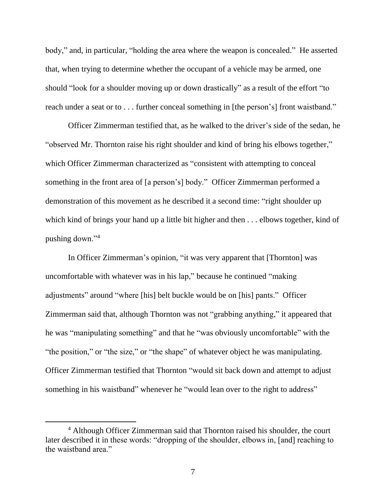body," and, in particular, "holding the area where the weapon is concealed." He asserted that, when trying to determine whether the occupant of a vehicle may be armed, one should "look for a shoulder moving up or down drastically" as a result of the effort "to reach under a seat or to . . . further conceal something in [the person's] front waistband."

Officer Zimmerman testified that, as he walked to the driver's side of the sedan, he "observed Mr. Thornton raise his right shoulder and kind of bring his elbows together," which Officer Zimmerman characterized as "consistent with attempting to conceal something in the front area of [a person's] body." Officer Zimmerman performed a demonstration of this movement as he described it a second time: "right shoulder up which kind of brings your hand up a little bit higher and then . . . elbows together, kind of pushing down."<sup>4</sup>

In Officer Zimmerman's opinion, "it was very apparent that [Thornton] was uncomfortable with whatever was in his lap," because he continued "making adjustments" around "where [his] belt buckle would be on [his] pants." Officer Zimmerman said that, although Thornton was not "grabbing anything," it appeared that he was "manipulating something" and that he "was obviously uncomfortable" with the "the position," or "the size," or "the shape" of whatever object he was manipulating. Officer Zimmerman testified that Thornton "would sit back down and attempt to adjust something in his waistband" whenever he "would lean over to the right to address"

<sup>4</sup> Although Officer Zimmerman said that Thornton raised his shoulder, the court later described it in these words: "dropping of the shoulder, elbows in, [and] reaching to the waistband area."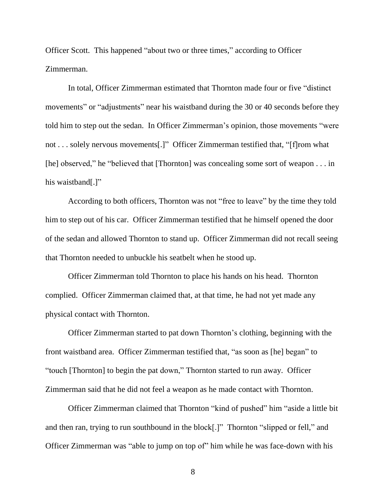Officer Scott. This happened "about two or three times," according to Officer Zimmerman.

In total, Officer Zimmerman estimated that Thornton made four or five "distinct movements" or "adjustments" near his waistband during the 30 or 40 seconds before they told him to step out the sedan. In Officer Zimmerman's opinion, those movements "were not . . . solely nervous movements[.]" Officer Zimmerman testified that, "[f]rom what [he] observed," he "believed that [Thornton] was concealing some sort of weapon . . . in his waistband[.]"

According to both officers, Thornton was not "free to leave" by the time they told him to step out of his car. Officer Zimmerman testified that he himself opened the door of the sedan and allowed Thornton to stand up. Officer Zimmerman did not recall seeing that Thornton needed to unbuckle his seatbelt when he stood up.

Officer Zimmerman told Thornton to place his hands on his head. Thornton complied. Officer Zimmerman claimed that, at that time, he had not yet made any physical contact with Thornton.

Officer Zimmerman started to pat down Thornton's clothing, beginning with the front waistband area. Officer Zimmerman testified that, "as soon as [he] began" to "touch [Thornton] to begin the pat down," Thornton started to run away. Officer Zimmerman said that he did not feel a weapon as he made contact with Thornton.

Officer Zimmerman claimed that Thornton "kind of pushed" him "aside a little bit and then ran, trying to run southbound in the block[.]" Thornton "slipped or fell," and Officer Zimmerman was "able to jump on top of" him while he was face-down with his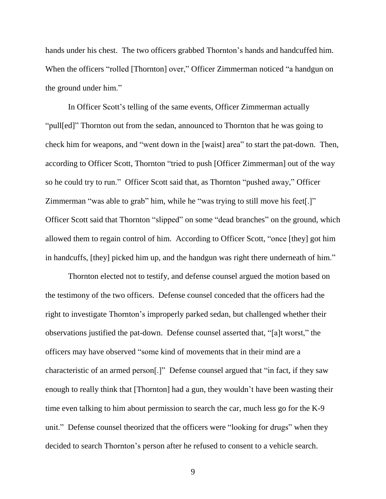hands under his chest. The two officers grabbed Thornton's hands and handcuffed him. When the officers "rolled [Thornton] over," Officer Zimmerman noticed "a handgun on the ground under him."

In Officer Scott's telling of the same events, Officer Zimmerman actually "pull[ed]" Thornton out from the sedan, announced to Thornton that he was going to check him for weapons, and "went down in the [waist] area" to start the pat-down. Then, according to Officer Scott, Thornton "tried to push [Officer Zimmerman] out of the way so he could try to run." Officer Scott said that, as Thornton "pushed away," Officer Zimmerman "was able to grab" him, while he "was trying to still move his feet[.]" Officer Scott said that Thornton "slipped" on some "dead branches" on the ground, which allowed them to regain control of him. According to Officer Scott, "once [they] got him in handcuffs, [they] picked him up, and the handgun was right there underneath of him."

Thornton elected not to testify, and defense counsel argued the motion based on the testimony of the two officers. Defense counsel conceded that the officers had the right to investigate Thornton's improperly parked sedan, but challenged whether their observations justified the pat-down. Defense counsel asserted that, "[a]t worst," the officers may have observed "some kind of movements that in their mind are a characteristic of an armed person[.]" Defense counsel argued that "in fact, if they saw enough to really think that [Thornton] had a gun, they wouldn't have been wasting their time even talking to him about permission to search the car, much less go for the K-9 unit." Defense counsel theorized that the officers were "looking for drugs" when they decided to search Thornton's person after he refused to consent to a vehicle search.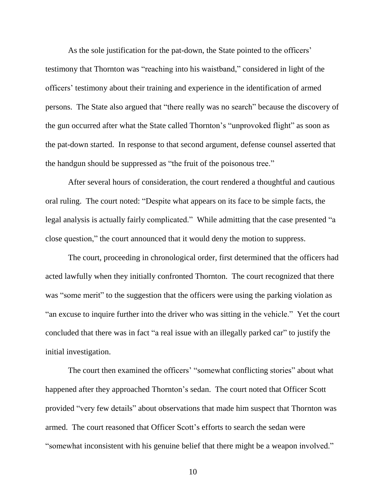As the sole justification for the pat-down, the State pointed to the officers' testimony that Thornton was "reaching into his waistband," considered in light of the officers' testimony about their training and experience in the identification of armed persons. The State also argued that "there really was no search" because the discovery of the gun occurred after what the State called Thornton's "unprovoked flight" as soon as the pat-down started. In response to that second argument, defense counsel asserted that the handgun should be suppressed as "the fruit of the poisonous tree."

After several hours of consideration, the court rendered a thoughtful and cautious oral ruling. The court noted: "Despite what appears on its face to be simple facts, the legal analysis is actually fairly complicated." While admitting that the case presented "a close question," the court announced that it would deny the motion to suppress.

The court, proceeding in chronological order, first determined that the officers had acted lawfully when they initially confronted Thornton. The court recognized that there was "some merit" to the suggestion that the officers were using the parking violation as "an excuse to inquire further into the driver who was sitting in the vehicle." Yet the court concluded that there was in fact "a real issue with an illegally parked car" to justify the initial investigation.

The court then examined the officers' "somewhat conflicting stories" about what happened after they approached Thornton's sedan. The court noted that Officer Scott provided "very few details" about observations that made him suspect that Thornton was armed. The court reasoned that Officer Scott's efforts to search the sedan were "somewhat inconsistent with his genuine belief that there might be a weapon involved."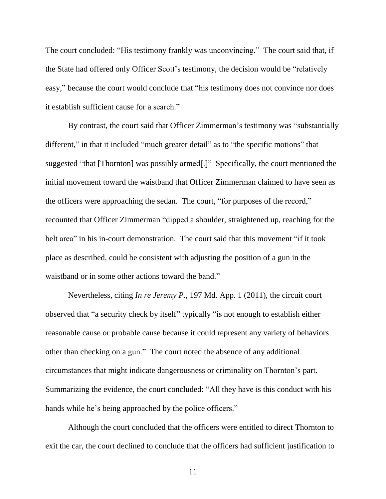The court concluded: "His testimony frankly was unconvincing." The court said that, if the State had offered only Officer Scott's testimony, the decision would be "relatively easy," because the court would conclude that "his testimony does not convince nor does it establish sufficient cause for a search."

By contrast, the court said that Officer Zimmerman's testimony was "substantially different," in that it included "much greater detail" as to "the specific motions" that suggested "that [Thornton] was possibly armed[.]" Specifically, the court mentioned the initial movement toward the waistband that Officer Zimmerman claimed to have seen as the officers were approaching the sedan. The court, "for purposes of the record," recounted that Officer Zimmerman "dipped a shoulder, straightened up, reaching for the belt area" in his in-court demonstration. The court said that this movement "if it took place as described, could be consistent with adjusting the position of a gun in the waistband or in some other actions toward the band."

Nevertheless, citing *In re Jeremy P.*, 197 Md. App. 1 (2011), the circuit court observed that "a security check by itself" typically "is not enough to establish either reasonable cause or probable cause because it could represent any variety of behaviors other than checking on a gun." The court noted the absence of any additional circumstances that might indicate dangerousness or criminality on Thornton's part. Summarizing the evidence, the court concluded: "All they have is this conduct with his hands while he's being approached by the police officers."

Although the court concluded that the officers were entitled to direct Thornton to exit the car, the court declined to conclude that the officers had sufficient justification to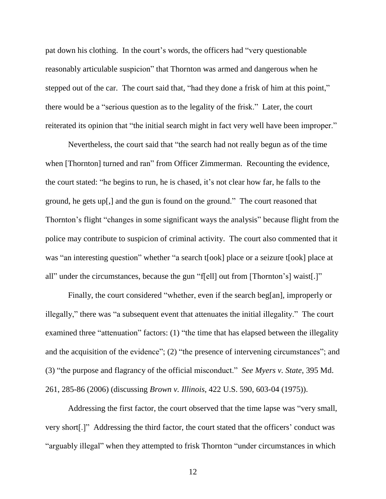pat down his clothing. In the court's words, the officers had "very questionable reasonably articulable suspicion" that Thornton was armed and dangerous when he stepped out of the car. The court said that, "had they done a frisk of him at this point," there would be a "serious question as to the legality of the frisk." Later, the court reiterated its opinion that "the initial search might in fact very well have been improper."

Nevertheless, the court said that "the search had not really begun as of the time when [Thornton] turned and ran" from Officer Zimmerman. Recounting the evidence, the court stated: "he begins to run, he is chased, it's not clear how far, he falls to the ground, he gets up[,] and the gun is found on the ground." The court reasoned that Thornton's flight "changes in some significant ways the analysis" because flight from the police may contribute to suspicion of criminal activity. The court also commented that it was "an interesting question" whether "a search t[ook] place or a seizure t[ook] place at all" under the circumstances, because the gun "f[ell] out from [Thornton's] waist[.]"

Finally, the court considered "whether, even if the search beg[an], improperly or illegally," there was "a subsequent event that attenuates the initial illegality." The court examined three "attenuation" factors: (1) "the time that has elapsed between the illegality and the acquisition of the evidence"; (2) "the presence of intervening circumstances"; and (3) "the purpose and flagrancy of the official misconduct." *See Myers v. State*, 395 Md. 261, 285-86 (2006) (discussing *Brown v. Illinois*, 422 U.S. 590, 603-04 (1975)).

Addressing the first factor, the court observed that the time lapse was "very small, very short[.]" Addressing the third factor, the court stated that the officers' conduct was "arguably illegal" when they attempted to frisk Thornton "under circumstances in which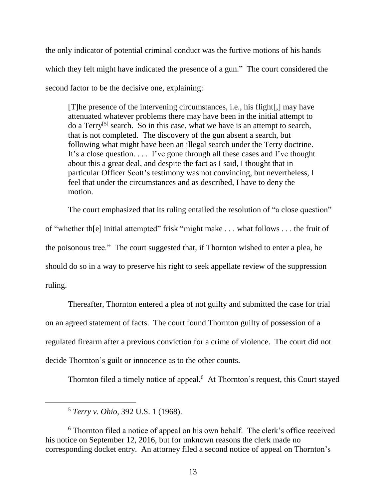the only indicator of potential criminal conduct was the furtive motions of his hands which they felt might have indicated the presence of a gun." The court considered the second factor to be the decisive one, explaining:

[T]he presence of the intervening circumstances, i.e., his flight[,] may have attenuated whatever problems there may have been in the initial attempt to do a Terry<sup>[5]</sup> search. So in this case, what we have is an attempt to search, that is not completed. The discovery of the gun absent a search, but following what might have been an illegal search under the Terry doctrine. It's a close question. . . . I've gone through all these cases and I've thought about this a great deal, and despite the fact as I said, I thought that in particular Officer Scott's testimony was not convincing, but nevertheless, I feel that under the circumstances and as described, I have to deny the motion.

The court emphasized that its ruling entailed the resolution of "a close question" of "whether th[e] initial attempted" frisk "might make . . . what follows . . . the fruit of the poisonous tree." The court suggested that, if Thornton wished to enter a plea, he should do so in a way to preserve his right to seek appellate review of the suppression ruling.

Thereafter, Thornton entered a plea of not guilty and submitted the case for trial on an agreed statement of facts. The court found Thornton guilty of possession of a regulated firearm after a previous conviction for a crime of violence. The court did not decide Thornton's guilt or innocence as to the other counts.

Thornton filed a timely notice of appeal.<sup>6</sup> At Thornton's request, this Court stayed

<sup>5</sup> *Terry v. Ohio*, 392 U.S. 1 (1968).

<sup>&</sup>lt;sup>6</sup> Thornton filed a notice of appeal on his own behalf. The clerk's office received his notice on September 12, 2016, but for unknown reasons the clerk made no corresponding docket entry. An attorney filed a second notice of appeal on Thornton's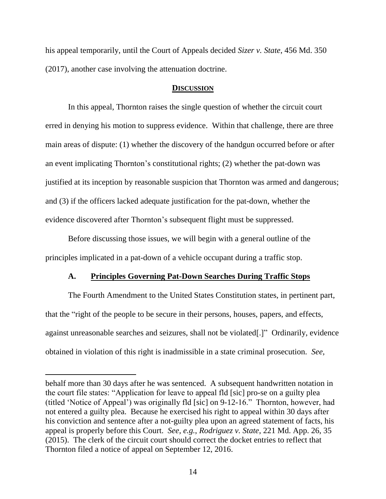his appeal temporarily, until the Court of Appeals decided *Sizer v. State*, 456 Md. 350 (2017), another case involving the attenuation doctrine.

## **DISCUSSION**

In this appeal, Thornton raises the single question of whether the circuit court erred in denying his motion to suppress evidence. Within that challenge, there are three main areas of dispute: (1) whether the discovery of the handgun occurred before or after an event implicating Thornton's constitutional rights; (2) whether the pat-down was justified at its inception by reasonable suspicion that Thornton was armed and dangerous; and (3) if the officers lacked adequate justification for the pat-down, whether the evidence discovered after Thornton's subsequent flight must be suppressed.

Before discussing those issues, we will begin with a general outline of the principles implicated in a pat-down of a vehicle occupant during a traffic stop.

# **A. Principles Governing Pat-Down Searches During Traffic Stops**

The Fourth Amendment to the United States Constitution states, in pertinent part, that the "right of the people to be secure in their persons, houses, papers, and effects, against unreasonable searches and seizures, shall not be violated[.]" Ordinarily, evidence obtained in violation of this right is inadmissible in a state criminal prosecution. *See,* 

behalf more than 30 days after he was sentenced. A subsequent handwritten notation in the court file states: "Application for leave to appeal fld [sic] pro-se on a guilty plea (titled 'Notice of Appeal') was originally fld [sic] on 9-12-16." Thornton, however, had not entered a guilty plea. Because he exercised his right to appeal within 30 days after his conviction and sentence after a not-guilty plea upon an agreed statement of facts, his appeal is properly before this Court. *See, e.g.*, *Rodriguez v. State*, 221 Md. App. 26, 35 (2015). The clerk of the circuit court should correct the docket entries to reflect that Thornton filed a notice of appeal on September 12, 2016.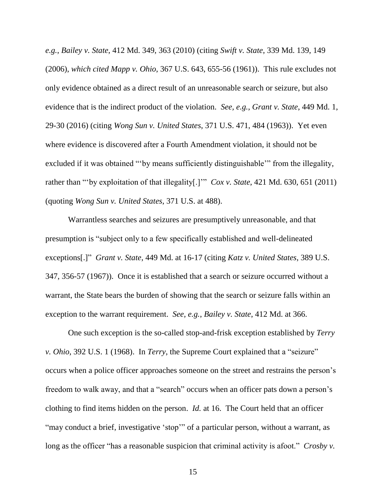*e.g.*, *Bailey v. State*, 412 Md. 349, 363 (2010) (citing *Swift v. State*, 339 Md. 139, 149 (2006), *which cited Mapp v. Ohio*, 367 U.S. 643, 655-56 (1961)). This rule excludes not only evidence obtained as a direct result of an unreasonable search or seizure, but also evidence that is the indirect product of the violation. *See, e.g.*, *Grant v. State*, 449 Md. 1, 29-30 (2016) (citing *Wong Sun v. United States*, 371 U.S. 471, 484 (1963)). Yet even where evidence is discovered after a Fourth Amendment violation, it should not be excluded if it was obtained "'by means sufficiently distinguishable'" from the illegality, rather than "'by exploitation of that illegality[.]'" *Cox v. State*, 421 Md. 630, 651 (2011) (quoting *Wong Sun v. United States*, 371 U.S. at 488).

Warrantless searches and seizures are presumptively unreasonable, and that presumption is "subject only to a few specifically established and well-delineated exceptions[.]" *Grant v. State*, 449 Md. at 16-17 (citing *Katz v. United States*, 389 U.S. 347, 356-57 (1967)). Once it is established that a search or seizure occurred without a warrant, the State bears the burden of showing that the search or seizure falls within an exception to the warrant requirement. *See, e.g.*, *Bailey v. State*, 412 Md. at 366.

One such exception is the so-called stop-and-frisk exception established by *Terry v. Ohio*, 392 U.S. 1 (1968). In *Terry*, the Supreme Court explained that a "seizure" occurs when a police officer approaches someone on the street and restrains the person's freedom to walk away, and that a "search" occurs when an officer pats down a person's clothing to find items hidden on the person. *Id.* at 16. The Court held that an officer "may conduct a brief, investigative 'stop'" of a particular person, without a warrant, as long as the officer "has a reasonable suspicion that criminal activity is afoot." *Crosby v.*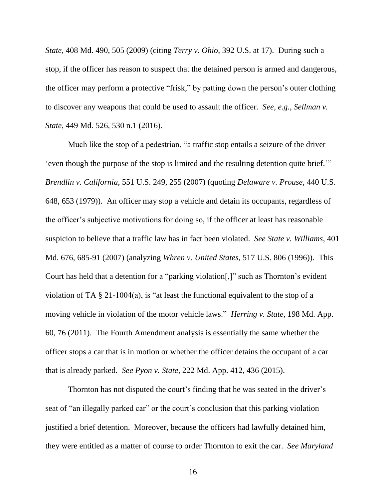*State*, 408 Md. 490, 505 (2009) (citing *Terry v. Ohio*, 392 U.S. at 17). During such a stop, if the officer has reason to suspect that the detained person is armed and dangerous, the officer may perform a protective "frisk," by patting down the person's outer clothing to discover any weapons that could be used to assault the officer. *See, e.g.*, *Sellman v. State*, 449 Md. 526, 530 n.1 (2016).

Much like the stop of a pedestrian, "a traffic stop entails a seizure of the driver 'even though the purpose of the stop is limited and the resulting detention quite brief.'" *Brendlin v. California*, 551 U.S. 249, 255 (2007) (quoting *Delaware v. Prouse*, 440 U.S. 648, 653 (1979)). An officer may stop a vehicle and detain its occupants, regardless of the officer's subjective motivations for doing so, if the officer at least has reasonable suspicion to believe that a traffic law has in fact been violated. *See State v. Williams*, 401 Md. 676, 685-91 (2007) (analyzing *Whren v. United States*, 517 U.S. 806 (1996)). This Court has held that a detention for a "parking violation[,]" such as Thornton's evident violation of TA § 21-1004(a), is "at least the functional equivalent to the stop of a moving vehicle in violation of the motor vehicle laws." *Herring v. State*, 198 Md. App. 60, 76 (2011). The Fourth Amendment analysis is essentially the same whether the officer stops a car that is in motion or whether the officer detains the occupant of a car that is already parked. *See Pyon v. State*, 222 Md. App. 412, 436 (2015).

Thornton has not disputed the court's finding that he was seated in the driver's seat of "an illegally parked car" or the court's conclusion that this parking violation justified a brief detention. Moreover, because the officers had lawfully detained him, they were entitled as a matter of course to order Thornton to exit the car. *See Maryland*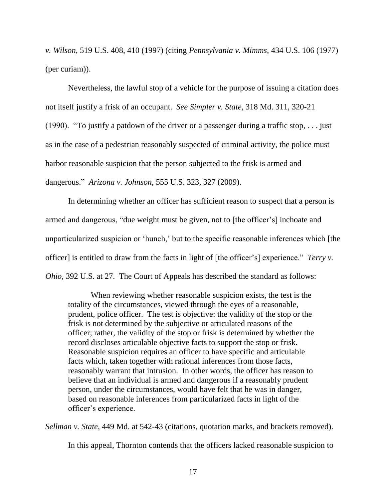*v. Wilson*, 519 U.S. 408, 410 (1997) (citing *Pennsylvania v. Mimms*, 434 U.S. 106 (1977) (per curiam)).

Nevertheless, the lawful stop of a vehicle for the purpose of issuing a citation does not itself justify a frisk of an occupant. *See Simpler v. State*, 318 Md. 311, 320-21 (1990). "To justify a patdown of the driver or a passenger during a traffic stop, . . . just as in the case of a pedestrian reasonably suspected of criminal activity, the police must harbor reasonable suspicion that the person subjected to the frisk is armed and dangerous." *Arizona v. Johnson*, 555 U.S. 323, 327 (2009).

In determining whether an officer has sufficient reason to suspect that a person is armed and dangerous, "due weight must be given, not to [the officer's] inchoate and unparticularized suspicion or 'hunch,' but to the specific reasonable inferences which [the officer] is entitled to draw from the facts in light of [the officer's] experience." *Terry v. Ohio*, 392 U.S. at 27. The Court of Appeals has described the standard as follows:

When reviewing whether reasonable suspicion exists, the test is the totality of the circumstances, viewed through the eyes of a reasonable, prudent, police officer. The test is objective: the validity of the stop or the frisk is not determined by the subjective or articulated reasons of the officer; rather, the validity of the stop or frisk is determined by whether the record discloses articulable objective facts to support the stop or frisk. Reasonable suspicion requires an officer to have specific and articulable facts which, taken together with rational inferences from those facts, reasonably warrant that intrusion. In other words, the officer has reason to believe that an individual is armed and dangerous if a reasonably prudent person, under the circumstances, would have felt that he was in danger, based on reasonable inferences from particularized facts in light of the officer's experience.

*Sellman v. State*, 449 Md. at 542-43 (citations, quotation marks, and brackets removed).

In this appeal, Thornton contends that the officers lacked reasonable suspicion to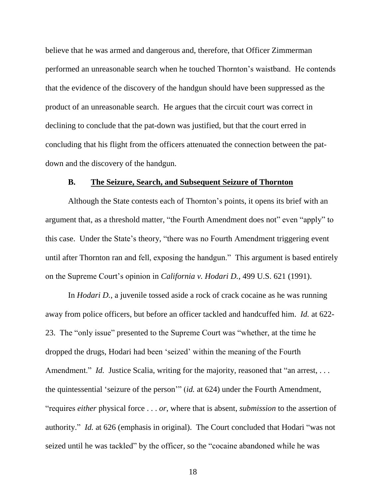believe that he was armed and dangerous and, therefore, that Officer Zimmerman performed an unreasonable search when he touched Thornton's waistband. He contends that the evidence of the discovery of the handgun should have been suppressed as the product of an unreasonable search. He argues that the circuit court was correct in declining to conclude that the pat-down was justified, but that the court erred in concluding that his flight from the officers attenuated the connection between the patdown and the discovery of the handgun.

### **B. The Seizure, Search, and Subsequent Seizure of Thornton**

Although the State contests each of Thornton's points, it opens its brief with an argument that, as a threshold matter, "the Fourth Amendment does not" even "apply" to this case. Under the State's theory, "there was no Fourth Amendment triggering event until after Thornton ran and fell, exposing the handgun." This argument is based entirely on the Supreme Court's opinion in *California v. Hodari D.*, 499 U.S. 621 (1991).

In *Hodari D.*, a juvenile tossed aside a rock of crack cocaine as he was running away from police officers, but before an officer tackled and handcuffed him. *Id.* at 622- 23. The "only issue" presented to the Supreme Court was "whether, at the time he dropped the drugs, Hodari had been 'seized' within the meaning of the Fourth Amendment." *Id.* Justice Scalia, writing for the majority, reasoned that "an arrest, ... the quintessential 'seizure of the person'" (*id.* at 624) under the Fourth Amendment, "requires *either* physical force . . . *or*, where that is absent, *submission* to the assertion of authority." *Id.* at 626 (emphasis in original). The Court concluded that Hodari "was not seized until he was tackled" by the officer, so the "cocaine abandoned while he was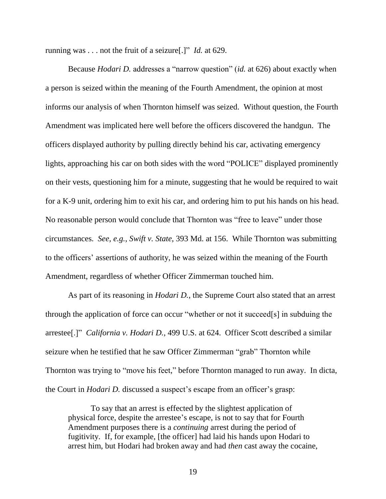running was . . . not the fruit of a seizure[.]" *Id.* at 629.

Because *Hodari D.* addresses a "narrow question" (*id.* at 626) about exactly when a person is seized within the meaning of the Fourth Amendment, the opinion at most informs our analysis of when Thornton himself was seized. Without question, the Fourth Amendment was implicated here well before the officers discovered the handgun. The officers displayed authority by pulling directly behind his car, activating emergency lights, approaching his car on both sides with the word "POLICE" displayed prominently on their vests, questioning him for a minute, suggesting that he would be required to wait for a K-9 unit, ordering him to exit his car, and ordering him to put his hands on his head. No reasonable person would conclude that Thornton was "free to leave" under those circumstances. *See, e.g.*, *Swift v. State*, 393 Md. at 156. While Thornton was submitting to the officers' assertions of authority, he was seized within the meaning of the Fourth Amendment, regardless of whether Officer Zimmerman touched him.

As part of its reasoning in *Hodari D.*, the Supreme Court also stated that an arrest through the application of force can occur "whether or not it succeed[s] in subduing the arrestee[.]" *California v. Hodari D.*, 499 U.S. at 624. Officer Scott described a similar seizure when he testified that he saw Officer Zimmerman "grab" Thornton while Thornton was trying to "move his feet," before Thornton managed to run away. In dicta, the Court in *Hodari D.* discussed a suspect's escape from an officer's grasp:

To say that an arrest is effected by the slightest application of physical force, despite the arrestee's escape, is not to say that for Fourth Amendment purposes there is a *continuing* arrest during the period of fugitivity. If, for example, [the officer] had laid his hands upon Hodari to arrest him, but Hodari had broken away and had *then* cast away the cocaine,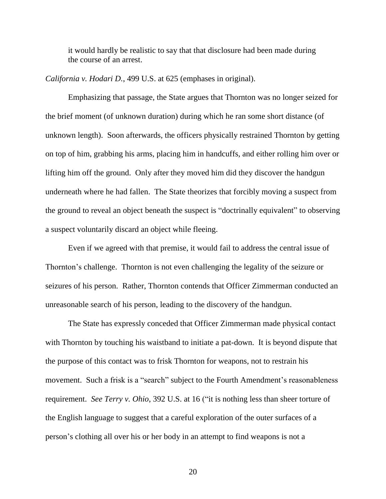it would hardly be realistic to say that that disclosure had been made during the course of an arrest.

*California v. Hodari D.*, 499 U.S. at 625 (emphases in original).

Emphasizing that passage, the State argues that Thornton was no longer seized for the brief moment (of unknown duration) during which he ran some short distance (of unknown length). Soon afterwards, the officers physically restrained Thornton by getting on top of him, grabbing his arms, placing him in handcuffs, and either rolling him over or lifting him off the ground. Only after they moved him did they discover the handgun underneath where he had fallen. The State theorizes that forcibly moving a suspect from the ground to reveal an object beneath the suspect is "doctrinally equivalent" to observing a suspect voluntarily discard an object while fleeing.

Even if we agreed with that premise, it would fail to address the central issue of Thornton's challenge. Thornton is not even challenging the legality of the seizure or seizures of his person. Rather, Thornton contends that Officer Zimmerman conducted an unreasonable search of his person, leading to the discovery of the handgun.

The State has expressly conceded that Officer Zimmerman made physical contact with Thornton by touching his waistband to initiate a pat-down. It is beyond dispute that the purpose of this contact was to frisk Thornton for weapons, not to restrain his movement. Such a frisk is a "search" subject to the Fourth Amendment's reasonableness requirement. *See Terry v. Ohio*, 392 U.S. at 16 ("it is nothing less than sheer torture of the English language to suggest that a careful exploration of the outer surfaces of a person's clothing all over his or her body in an attempt to find weapons is not a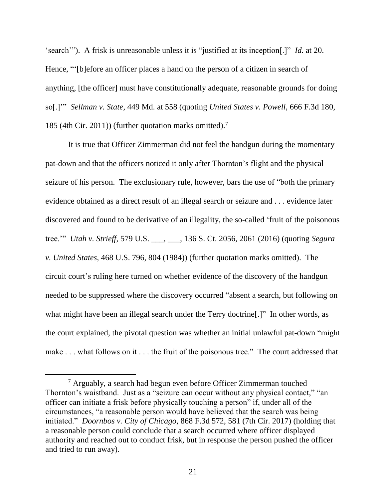'search'"). A frisk is unreasonable unless it is "justified at its inception[.]" *Id.* at 20. Hence, "'[b]efore an officer places a hand on the person of a citizen in search of anything, [the officer] must have constitutionally adequate, reasonable grounds for doing so[.]'" *Sellman v. State*, 449 Md. at 558 (quoting *United States v. Powell*, 666 F.3d 180, 185 (4th Cir. 2011)) (further quotation marks omitted).<sup>7</sup>

It is true that Officer Zimmerman did not feel the handgun during the momentary pat-down and that the officers noticed it only after Thornton's flight and the physical seizure of his person. The exclusionary rule, however, bars the use of "both the primary evidence obtained as a direct result of an illegal search or seizure and . . . evidence later discovered and found to be derivative of an illegality, the so-called 'fruit of the poisonous tree.'" *Utah v. Strieff*, 579 U.S. \_\_\_, \_\_\_, 136 S. Ct. 2056, 2061 (2016) (quoting *Segura v. United States*, 468 U.S. 796, 804 (1984)) (further quotation marks omitted). The circuit court's ruling here turned on whether evidence of the discovery of the handgun needed to be suppressed where the discovery occurred "absent a search, but following on what might have been an illegal search under the Terry doctrine.<sup>[1]</sup> In other words, as the court explained, the pivotal question was whether an initial unlawful pat-down "might make . . . what follows on it . . . the fruit of the poisonous tree." The court addressed that

 $<sup>7</sup>$  Arguably, a search had begun even before Officer Zimmerman touched</sup> Thornton's waistband. Just as a "seizure can occur without any physical contact," "an officer can initiate a frisk before physically touching a person" if, under all of the circumstances, "a reasonable person would have believed that the search was being initiated." *Doornbos v. City of Chicago*, 868 F.3d 572, 581 (7th Cir. 2017) (holding that a reasonable person could conclude that a search occurred where officer displayed authority and reached out to conduct frisk, but in response the person pushed the officer and tried to run away).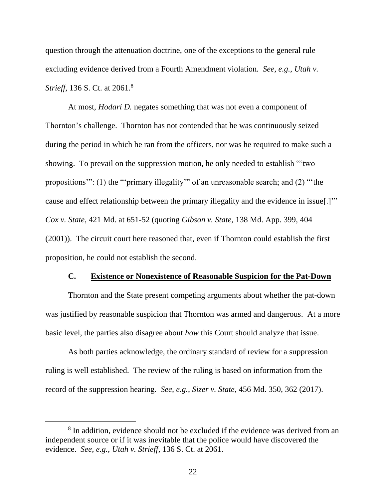question through the attenuation doctrine, one of the exceptions to the general rule excluding evidence derived from a Fourth Amendment violation. *See, e.g.*, *Utah v. Strieff*, 136 S. Ct. at 2061.<sup>8</sup>

At most, *Hodari D.* negates something that was not even a component of Thornton's challenge. Thornton has not contended that he was continuously seized during the period in which he ran from the officers, nor was he required to make such a showing. To prevail on the suppression motion, he only needed to establish "'two propositions'": (1) the "'primary illegality'" of an unreasonable search; and (2) "'the cause and effect relationship between the primary illegality and the evidence in issue[.]'" *Cox v. State*, 421 Md. at 651-52 (quoting *Gibson v. State*, 138 Md. App. 399, 404 (2001)). The circuit court here reasoned that, even if Thornton could establish the first proposition, he could not establish the second.

#### **C. Existence or Nonexistence of Reasonable Suspicion for the Pat-Down**

Thornton and the State present competing arguments about whether the pat-down was justified by reasonable suspicion that Thornton was armed and dangerous. At a more basic level, the parties also disagree about *how* this Court should analyze that issue.

As both parties acknowledge, the ordinary standard of review for a suppression ruling is well established. The review of the ruling is based on information from the record of the suppression hearing. *See, e.g.*, *Sizer v. State*, 456 Md. 350, 362 (2017).

<sup>&</sup>lt;sup>8</sup> In addition, evidence should not be excluded if the evidence was derived from an independent source or if it was inevitable that the police would have discovered the evidence. *See, e.g.*, *Utah v. Strieff*, 136 S. Ct. at 2061.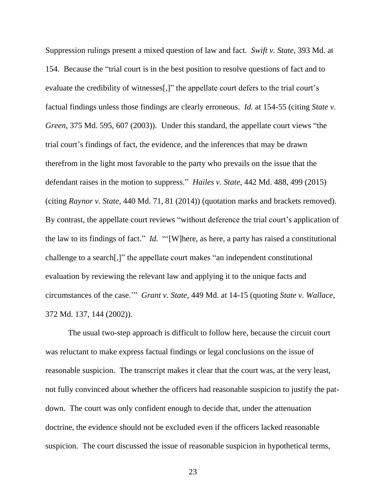Suppression rulings present a mixed question of law and fact. *Swift v. State*, 393 Md. at 154. Because the "trial court is in the best position to resolve questions of fact and to evaluate the credibility of witnesses[,]" the appellate court defers to the trial court's factual findings unless those findings are clearly erroneous. *Id.* at 154-55 (citing *State v. Green*, 375 Md. 595, 607 (2003)). Under this standard, the appellate court views "the trial court's findings of fact, the evidence, and the inferences that may be drawn therefrom in the light most favorable to the party who prevails on the issue that the defendant raises in the motion to suppress." *Hailes v. State*, 442 Md. 488, 499 (2015) (citing *Raynor v. State*, 440 Md. 71, 81 (2014)) (quotation marks and brackets removed). By contrast, the appellate court reviews "without deference the trial court's application of the law to its findings of fact." *Id.* "'[W]here, as here, a party has raised a constitutional challenge to a search[,]" the appellate court makes "an independent constitutional evaluation by reviewing the relevant law and applying it to the unique facts and circumstances of the case.'" *Grant v. State*, 449 Md. at 14-15 (quoting *State v. Wallace*, 372 Md. 137, 144 (2002)).

The usual two-step approach is difficult to follow here, because the circuit court was reluctant to make express factual findings or legal conclusions on the issue of reasonable suspicion. The transcript makes it clear that the court was, at the very least, not fully convinced about whether the officers had reasonable suspicion to justify the patdown. The court was only confident enough to decide that, under the attenuation doctrine, the evidence should not be excluded even if the officers lacked reasonable suspicion. The court discussed the issue of reasonable suspicion in hypothetical terms,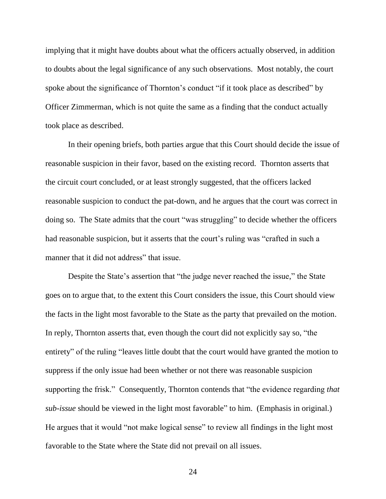implying that it might have doubts about what the officers actually observed, in addition to doubts about the legal significance of any such observations. Most notably, the court spoke about the significance of Thornton's conduct "if it took place as described" by Officer Zimmerman, which is not quite the same as a finding that the conduct actually took place as described.

In their opening briefs, both parties argue that this Court should decide the issue of reasonable suspicion in their favor, based on the existing record. Thornton asserts that the circuit court concluded, or at least strongly suggested, that the officers lacked reasonable suspicion to conduct the pat-down, and he argues that the court was correct in doing so. The State admits that the court "was struggling" to decide whether the officers had reasonable suspicion, but it asserts that the court's ruling was "crafted in such a manner that it did not address" that issue.

Despite the State's assertion that "the judge never reached the issue," the State goes on to argue that, to the extent this Court considers the issue, this Court should view the facts in the light most favorable to the State as the party that prevailed on the motion. In reply, Thornton asserts that, even though the court did not explicitly say so, "the entirety" of the ruling "leaves little doubt that the court would have granted the motion to suppress if the only issue had been whether or not there was reasonable suspicion supporting the frisk." Consequently, Thornton contends that "the evidence regarding *that sub-issue* should be viewed in the light most favorable" to him. (Emphasis in original.) He argues that it would "not make logical sense" to review all findings in the light most favorable to the State where the State did not prevail on all issues.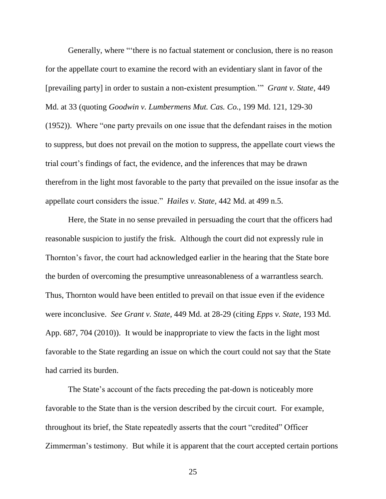Generally, where "'there is no factual statement or conclusion, there is no reason for the appellate court to examine the record with an evidentiary slant in favor of the [prevailing party] in order to sustain a non-existent presumption.'" *Grant v. State*, 449 Md. at 33 (quoting *Goodwin v. Lumbermens Mut. Cas. Co.*, 199 Md. 121, 129-30 (1952)). Where "one party prevails on one issue that the defendant raises in the motion to suppress, but does not prevail on the motion to suppress, the appellate court views the trial court's findings of fact, the evidence, and the inferences that may be drawn therefrom in the light most favorable to the party that prevailed on the issue insofar as the appellate court considers the issue." *Hailes v. State*, 442 Md. at 499 n.5.

Here, the State in no sense prevailed in persuading the court that the officers had reasonable suspicion to justify the frisk. Although the court did not expressly rule in Thornton's favor, the court had acknowledged earlier in the hearing that the State bore the burden of overcoming the presumptive unreasonableness of a warrantless search. Thus, Thornton would have been entitled to prevail on that issue even if the evidence were inconclusive. *See Grant v. State*, 449 Md. at 28-29 (citing *Epps v. State*, 193 Md. App. 687, 704 (2010)). It would be inappropriate to view the facts in the light most favorable to the State regarding an issue on which the court could not say that the State had carried its burden.

The State's account of the facts preceding the pat-down is noticeably more favorable to the State than is the version described by the circuit court. For example, throughout its brief, the State repeatedly asserts that the court "credited" Officer Zimmerman's testimony. But while it is apparent that the court accepted certain portions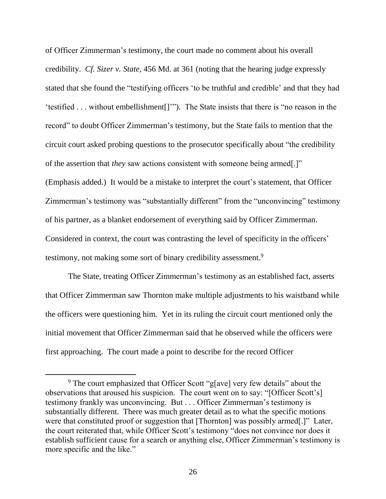of Officer Zimmerman's testimony, the court made no comment about his overall credibility. *Cf. Sizer v. State*, 456 Md. at 361 (noting that the hearing judge expressly stated that she found the "testifying officers 'to be truthful and credible' and that they had 'testified . . . without embellishment[]'"). The State insists that there is "no reason in the record" to doubt Officer Zimmerman's testimony, but the State fails to mention that the circuit court asked probing questions to the prosecutor specifically about "the credibility of the assertion that *they* saw actions consistent with someone being armed[.]" (Emphasis added.) It would be a mistake to interpret the court's statement, that Officer Zimmerman's testimony was "substantially different" from the "unconvincing" testimony of his partner, as a blanket endorsement of everything said by Officer Zimmerman. Considered in context, the court was contrasting the level of specificity in the officers' testimony, not making some sort of binary credibility assessment.<sup>9</sup>

The State, treating Officer Zimmerman's testimony as an established fact, asserts that Officer Zimmerman saw Thornton make multiple adjustments to his waistband while the officers were questioning him. Yet in its ruling the circuit court mentioned only the initial movement that Officer Zimmerman said that he observed while the officers were first approaching. The court made a point to describe for the record Officer

<sup>&</sup>lt;sup>9</sup> The court emphasized that Officer Scott "g[ave] very few details" about the observations that aroused his suspicion. The court went on to say: "[Officer Scott's] testimony frankly was unconvincing. But . . . Officer Zimmerman's testimony is substantially different. There was much greater detail as to what the specific motions were that constituted proof or suggestion that [Thornton] was possibly armed[.]" Later, the court reiterated that, while Officer Scott's testimony "does not convince nor does it establish sufficient cause for a search or anything else, Officer Zimmerman's testimony is more specific and the like."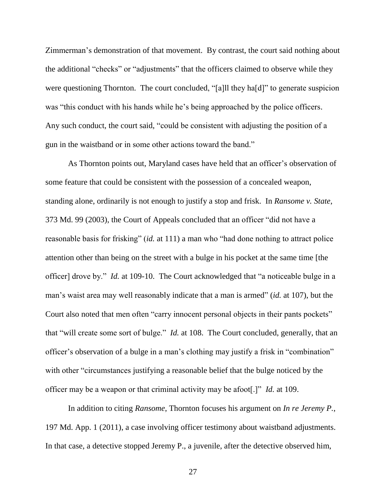Zimmerman's demonstration of that movement. By contrast, the court said nothing about the additional "checks" or "adjustments" that the officers claimed to observe while they were questioning Thornton. The court concluded, "[a]ll they ha[d]" to generate suspicion was "this conduct with his hands while he's being approached by the police officers. Any such conduct, the court said, "could be consistent with adjusting the position of a gun in the waistband or in some other actions toward the band."

As Thornton points out, Maryland cases have held that an officer's observation of some feature that could be consistent with the possession of a concealed weapon, standing alone, ordinarily is not enough to justify a stop and frisk. In *Ransome v. State*, 373 Md. 99 (2003), the Court of Appeals concluded that an officer "did not have a reasonable basis for frisking" (*id.* at 111) a man who "had done nothing to attract police attention other than being on the street with a bulge in his pocket at the same time [the officer] drove by." *Id.* at 109-10. The Court acknowledged that "a noticeable bulge in a man's waist area may well reasonably indicate that a man is armed" (*id.* at 107), but the Court also noted that men often "carry innocent personal objects in their pants pockets" that "will create some sort of bulge." *Id.* at 108. The Court concluded, generally, that an officer's observation of a bulge in a man's clothing may justify a frisk in "combination" with other "circumstances justifying a reasonable belief that the bulge noticed by the officer may be a weapon or that criminal activity may be afoot[.]" *Id.* at 109.

In addition to citing *Ransome*, Thornton focuses his argument on *In re Jeremy P.*, 197 Md. App. 1 (2011), a case involving officer testimony about waistband adjustments. In that case, a detective stopped Jeremy P., a juvenile, after the detective observed him,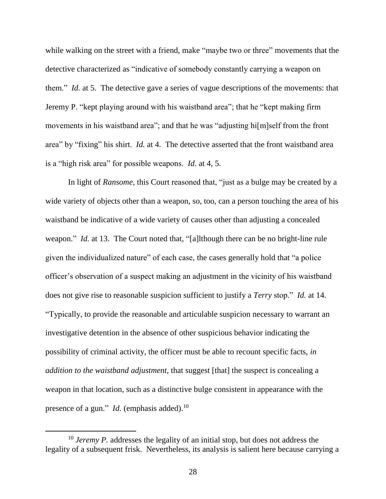while walking on the street with a friend, make "maybe two or three" movements that the detective characterized as "indicative of somebody constantly carrying a weapon on them." *Id.* at 5. The detective gave a series of vague descriptions of the movements: that Jeremy P. "kept playing around with his waistband area"; that he "kept making firm movements in his waistband area"; and that he was "adjusting hi[m]self from the front area" by "fixing" his shirt. *Id.* at 4. The detective asserted that the front waistband area is a "high risk area" for possible weapons. *Id.* at 4, 5.

In light of *Ransome*, this Court reasoned that, "just as a bulge may be created by a wide variety of objects other than a weapon, so, too, can a person touching the area of his waistband be indicative of a wide variety of causes other than adjusting a concealed weapon." *Id.* at 13. The Court noted that, "[a]lthough there can be no bright-line rule given the individualized nature" of each case, the cases generally hold that "a police officer's observation of a suspect making an adjustment in the vicinity of his waistband does not give rise to reasonable suspicion sufficient to justify a *Terry* stop." *Id.* at 14. "Typically, to provide the reasonable and articulable suspicion necessary to warrant an investigative detention in the absence of other suspicious behavior indicating the possibility of criminal activity, the officer must be able to recount specific facts, *in addition to the waistband adjustment*, that suggest [that] the suspect is concealing a weapon in that location, such as a distinctive bulge consistent in appearance with the presence of a gun." *Id.* (emphasis added).<sup>10</sup>

<sup>&</sup>lt;sup>10</sup> *Jeremy P*. addresses the legality of an initial stop, but does not address the legality of a subsequent frisk. Nevertheless, its analysis is salient here because carrying a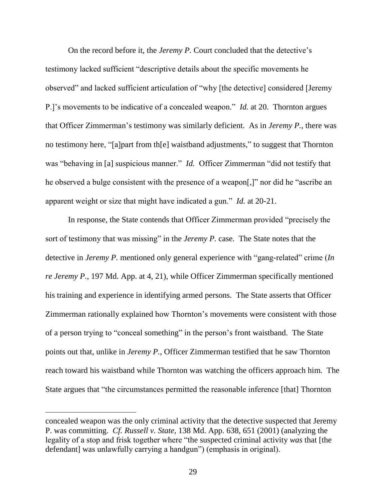On the record before it, the *Jeremy P.* Court concluded that the detective's testimony lacked sufficient "descriptive details about the specific movements he observed" and lacked sufficient articulation of "why [the detective] considered [Jeremy P.]'s movements to be indicative of a concealed weapon." *Id.* at 20. Thornton argues that Officer Zimmerman's testimony was similarly deficient. As in *Jeremy P.*, there was no testimony here, "[a]part from th[e] waistband adjustments," to suggest that Thornton was "behaving in [a] suspicious manner." *Id.* Officer Zimmerman "did not testify that he observed a bulge consistent with the presence of a weapon[,]" nor did he "ascribe an apparent weight or size that might have indicated a gun." *Id.* at 20-21.

In response, the State contends that Officer Zimmerman provided "precisely the sort of testimony that was missing" in the *Jeremy P.* case. The State notes that the detective in *Jeremy P.* mentioned only general experience with "gang-related" crime (*In re Jeremy P.*, 197 Md. App. at 4, 21), while Officer Zimmerman specifically mentioned his training and experience in identifying armed persons. The State asserts that Officer Zimmerman rationally explained how Thornton's movements were consistent with those of a person trying to "conceal something" in the person's front waistband. The State points out that, unlike in *Jeremy P.*, Officer Zimmerman testified that he saw Thornton reach toward his waistband while Thornton was watching the officers approach him. The State argues that "the circumstances permitted the reasonable inference [that] Thornton

concealed weapon was the only criminal activity that the detective suspected that Jeremy P. was committing. *Cf. Russell v. State*, 138 Md. App. 638, 651 (2001) (analyzing the legality of a stop and frisk together where "the suspected criminal activity *was* that [the defendant] was unlawfully carrying a handgun") (emphasis in original).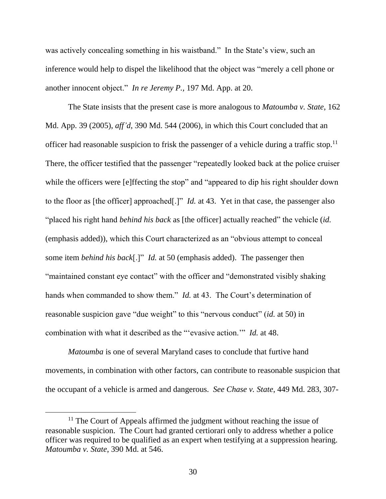was actively concealing something in his waistband." In the State's view, such an inference would help to dispel the likelihood that the object was "merely a cell phone or another innocent object." *In re Jeremy P.*, 197 Md. App. at 20.

The State insists that the present case is more analogous to *Matoumba v. State*, 162 Md. App. 39 (2005), *aff'd*, 390 Md. 544 (2006), in which this Court concluded that an officer had reasonable suspicion to frisk the passenger of a vehicle during a traffic stop.<sup>11</sup> There, the officer testified that the passenger "repeatedly looked back at the police cruiser while the officers were [e]ffecting the stop" and "appeared to dip his right shoulder down to the floor as [the officer] approached[.]" *Id.* at 43. Yet in that case, the passenger also "placed his right hand *behind his back* as [the officer] actually reached" the vehicle (*id.*  (emphasis added)), which this Court characterized as an "obvious attempt to conceal some item *behind his back*[.]" *Id.* at 50 (emphasis added). The passenger then "maintained constant eye contact" with the officer and "demonstrated visibly shaking hands when commanded to show them." *Id.* at 43. The Court's determination of reasonable suspicion gave "due weight" to this "nervous conduct" (*id.* at 50) in combination with what it described as the "'evasive action.'" *Id.* at 48.

*Matoumba* is one of several Maryland cases to conclude that furtive hand movements, in combination with other factors, can contribute to reasonable suspicion that the occupant of a vehicle is armed and dangerous. *See Chase v. State*, 449 Md. 283, 307-

<sup>&</sup>lt;sup>11</sup> The Court of Appeals affirmed the judgment without reaching the issue of reasonable suspicion. The Court had granted certiorari only to address whether a police officer was required to be qualified as an expert when testifying at a suppression hearing. *Matoumba v. State*, 390 Md. at 546.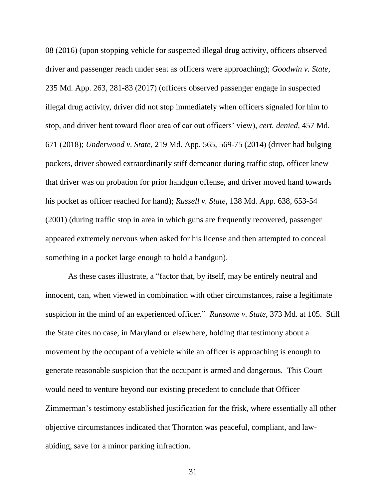08 (2016) (upon stopping vehicle for suspected illegal drug activity, officers observed driver and passenger reach under seat as officers were approaching); *Goodwin v. State*, 235 Md. App. 263, 281-83 (2017) (officers observed passenger engage in suspected illegal drug activity, driver did not stop immediately when officers signaled for him to stop, and driver bent toward floor area of car out officers' view), *cert. denied*, 457 Md. 671 (2018); *Underwood v. State*, 219 Md. App. 565, 569-75 (2014) (driver had bulging pockets, driver showed extraordinarily stiff demeanor during traffic stop, officer knew that driver was on probation for prior handgun offense, and driver moved hand towards his pocket as officer reached for hand); *Russell v. State*, 138 Md. App. 638, 653-54 (2001) (during traffic stop in area in which guns are frequently recovered, passenger appeared extremely nervous when asked for his license and then attempted to conceal something in a pocket large enough to hold a handgun).

As these cases illustrate, a "factor that, by itself, may be entirely neutral and innocent, can, when viewed in combination with other circumstances, raise a legitimate suspicion in the mind of an experienced officer." *Ransome v. State*, 373 Md. at 105. Still the State cites no case, in Maryland or elsewhere, holding that testimony about a movement by the occupant of a vehicle while an officer is approaching is enough to generate reasonable suspicion that the occupant is armed and dangerous. This Court would need to venture beyond our existing precedent to conclude that Officer Zimmerman's testimony established justification for the frisk, where essentially all other objective circumstances indicated that Thornton was peaceful, compliant, and lawabiding, save for a minor parking infraction.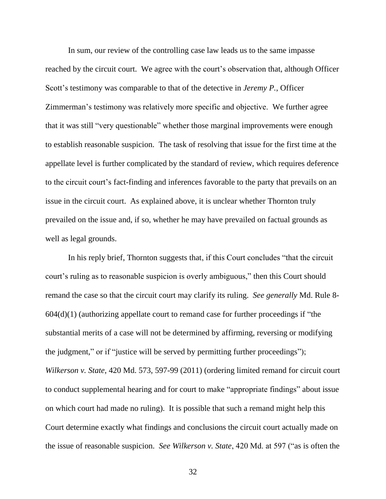In sum, our review of the controlling case law leads us to the same impasse reached by the circuit court. We agree with the court's observation that, although Officer Scott's testimony was comparable to that of the detective in *Jeremy P.*, Officer Zimmerman's testimony was relatively more specific and objective. We further agree that it was still "very questionable" whether those marginal improvements were enough to establish reasonable suspicion. The task of resolving that issue for the first time at the appellate level is further complicated by the standard of review, which requires deference to the circuit court's fact-finding and inferences favorable to the party that prevails on an issue in the circuit court. As explained above, it is unclear whether Thornton truly prevailed on the issue and, if so, whether he may have prevailed on factual grounds as well as legal grounds.

In his reply brief, Thornton suggests that, if this Court concludes "that the circuit court's ruling as to reasonable suspicion is overly ambiguous," then this Court should remand the case so that the circuit court may clarify its ruling. *See generally* Md. Rule 8-  $604(d)(1)$  (authorizing appellate court to remand case for further proceedings if "the substantial merits of a case will not be determined by affirming, reversing or modifying the judgment," or if "justice will be served by permitting further proceedings"); *Wilkerson v. State*, 420 Md. 573, 597-99 (2011) (ordering limited remand for circuit court to conduct supplemental hearing and for court to make "appropriate findings" about issue on which court had made no ruling). It is possible that such a remand might help this Court determine exactly what findings and conclusions the circuit court actually made on the issue of reasonable suspicion. *See Wilkerson v. State*, 420 Md. at 597 ("as is often the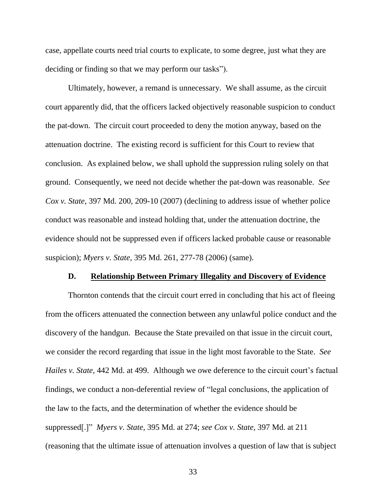case, appellate courts need trial courts to explicate, to some degree, just what they are deciding or finding so that we may perform our tasks").

Ultimately, however, a remand is unnecessary. We shall assume, as the circuit court apparently did, that the officers lacked objectively reasonable suspicion to conduct the pat-down. The circuit court proceeded to deny the motion anyway, based on the attenuation doctrine. The existing record is sufficient for this Court to review that conclusion. As explained below, we shall uphold the suppression ruling solely on that ground. Consequently, we need not decide whether the pat-down was reasonable. *See Cox v. State*, 397 Md. 200, 209-10 (2007) (declining to address issue of whether police conduct was reasonable and instead holding that, under the attenuation doctrine, the evidence should not be suppressed even if officers lacked probable cause or reasonable suspicion); *Myers v. State*, 395 Md. 261, 277-78 (2006) (same).

#### **D. Relationship Between Primary Illegality and Discovery of Evidence**

Thornton contends that the circuit court erred in concluding that his act of fleeing from the officers attenuated the connection between any unlawful police conduct and the discovery of the handgun. Because the State prevailed on that issue in the circuit court, we consider the record regarding that issue in the light most favorable to the State. *See Hailes v. State*, 442 Md. at 499. Although we owe deference to the circuit court's factual findings, we conduct a non-deferential review of "legal conclusions, the application of the law to the facts, and the determination of whether the evidence should be suppressed[.]" *Myers v. State*, 395 Md. at 274; *see Cox v. State*, 397 Md. at 211 (reasoning that the ultimate issue of attenuation involves a question of law that is subject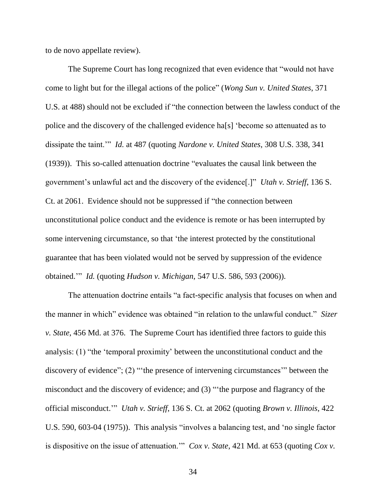to de novo appellate review).

The Supreme Court has long recognized that even evidence that "would not have come to light but for the illegal actions of the police" (*Wong Sun v. United States*, 371 U.S. at 488) should not be excluded if "the connection between the lawless conduct of the police and the discovery of the challenged evidence ha[s] 'become so attenuated as to dissipate the taint.'" *Id.* at 487 (quoting *Nardone v. United States*, 308 U.S. 338, 341 (1939)). This so-called attenuation doctrine "evaluates the causal link between the government's unlawful act and the discovery of the evidence[.]" *Utah v. Strieff*, 136 S. Ct. at 2061. Evidence should not be suppressed if "the connection between unconstitutional police conduct and the evidence is remote or has been interrupted by some intervening circumstance, so that 'the interest protected by the constitutional guarantee that has been violated would not be served by suppression of the evidence obtained.'" *Id.* (quoting *Hudson v. Michigan*, 547 U.S. 586, 593 (2006)).

The attenuation doctrine entails "a fact-specific analysis that focuses on when and the manner in which" evidence was obtained "in relation to the unlawful conduct." *Sizer v. State*, 456 Md. at 376. The Supreme Court has identified three factors to guide this analysis: (1) "the 'temporal proximity' between the unconstitutional conduct and the discovery of evidence"; (2) "'the presence of intervening circumstances'" between the misconduct and the discovery of evidence; and (3) "'the purpose and flagrancy of the official misconduct.'" *Utah v. Strieff*, 136 S. Ct. at 2062 (quoting *Brown v. Illinois*, 422 U.S. 590, 603-04 (1975)). This analysis "involves a balancing test, and 'no single factor is dispositive on the issue of attenuation.'" *Cox v. State*, 421 Md. at 653 (quoting *Cox v.*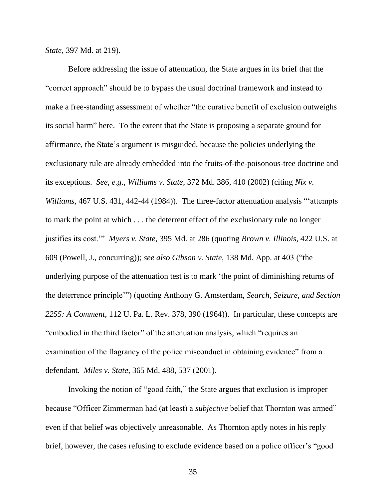*State*, 397 Md. at 219).

Before addressing the issue of attenuation, the State argues in its brief that the "correct approach" should be to bypass the usual doctrinal framework and instead to make a free-standing assessment of whether "the curative benefit of exclusion outweighs its social harm" here. To the extent that the State is proposing a separate ground for affirmance, the State's argument is misguided, because the policies underlying the exclusionary rule are already embedded into the fruits-of-the-poisonous-tree doctrine and its exceptions. *See, e.g.*, *Williams v. State*, 372 Md. 386, 410 (2002) (citing *Nix v. Williams*, 467 U.S. 431, 442-44 (1984)). The three-factor attenuation analysis "'attempts to mark the point at which . . . the deterrent effect of the exclusionary rule no longer justifies its cost.'" *Myers v. State*, 395 Md. at 286 (quoting *Brown v. Illinois*, 422 U.S. at 609 (Powell, J., concurring)); *see also Gibson v. State*, 138 Md. App. at 403 ("the underlying purpose of the attenuation test is to mark 'the point of diminishing returns of the deterrence principle'") (quoting Anthony G. Amsterdam, *Search, Seizure, and Section 2255: A Comment*, 112 U. Pa. L. Rev. 378, 390 (1964)). In particular, these concepts are "embodied in the third factor" of the attenuation analysis, which "requires an examination of the flagrancy of the police misconduct in obtaining evidence" from a defendant. *Miles v. State*, 365 Md. 488, 537 (2001).

Invoking the notion of "good faith," the State argues that exclusion is improper because "Officer Zimmerman had (at least) a *subjective* belief that Thornton was armed" even if that belief was objectively unreasonable. As Thornton aptly notes in his reply brief, however, the cases refusing to exclude evidence based on a police officer's "good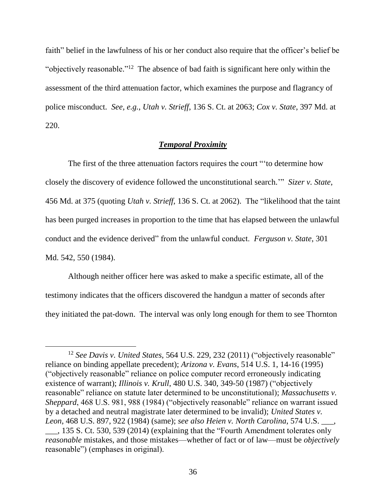faith" belief in the lawfulness of his or her conduct also require that the officer's belief be "objectively reasonable."<sup>12</sup> The absence of bad faith is significant here only within the assessment of the third attenuation factor, which examines the purpose and flagrancy of police misconduct. *See, e.g.*, *Utah v. Strieff*, 136 S. Ct. at 2063; *Cox v. State*, 397 Md. at 220.

# *Temporal Proximity*

The first of the three attenuation factors requires the court "'to determine how closely the discovery of evidence followed the unconstitutional search.'" *Sizer v. State*, 456 Md. at 375 (quoting *Utah v. Strieff*, 136 S. Ct. at 2062). The "likelihood that the taint has been purged increases in proportion to the time that has elapsed between the unlawful conduct and the evidence derived" from the unlawful conduct. *Ferguson v. State*, 301 Md. 542, 550 (1984).

Although neither officer here was asked to make a specific estimate, all of the testimony indicates that the officers discovered the handgun a matter of seconds after they initiated the pat-down. The interval was only long enough for them to see Thornton

<sup>&</sup>lt;sup>12</sup> See Davis v. United States, 564 U.S. 229, 232 (2011) ("objectively reasonable" reliance on binding appellate precedent); *Arizona v. Evans*, 514 U.S. 1, 14-16 (1995) ("objectively reasonable" reliance on police computer record erroneously indicating existence of warrant); *Illinois v. Krull*, 480 U.S. 340, 349-50 (1987) ("objectively reasonable" reliance on statute later determined to be unconstitutional); *Massachusetts v. Sheppard*, 468 U.S. 981, 988 (1984) ("objectively reasonable" reliance on warrant issued by a detached and neutral magistrate later determined to be invalid); *United States v. Leon*, 468 U.S. 897, 922 (1984) (same); *see also Heien v. North Carolina*, 574 U.S. \_\_\_, \_\_\_, 135 S. Ct. 530, 539 (2014) (explaining that the "Fourth Amendment tolerates only *reasonable* mistakes, and those mistakes—whether of fact or of law—must be *objectively*  reasonable") (emphases in original).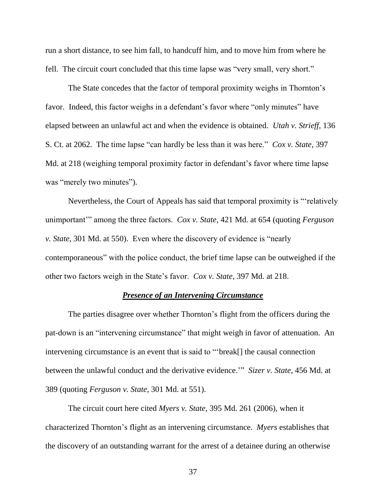run a short distance, to see him fall, to handcuff him, and to move him from where he fell. The circuit court concluded that this time lapse was "very small, very short."

The State concedes that the factor of temporal proximity weighs in Thornton's favor. Indeed, this factor weighs in a defendant's favor where "only minutes" have elapsed between an unlawful act and when the evidence is obtained. *Utah v. Strieff*, 136 S. Ct. at 2062. The time lapse "can hardly be less than it was here." *Cox v. State*, 397 Md. at 218 (weighing temporal proximity factor in defendant's favor where time lapse was "merely two minutes").

Nevertheless, the Court of Appeals has said that temporal proximity is "'relatively unimportant'" among the three factors. *Cox v. State*, 421 Md. at 654 (quoting *Ferguson v. State*, 301 Md. at 550). Even where the discovery of evidence is "nearly contemporaneous" with the police conduct, the brief time lapse can be outweighed if the other two factors weigh in the State's favor. *Cox v. State*, 397 Md. at 218.

# *Presence of an Intervening Circumstance*

The parties disagree over whether Thornton's flight from the officers during the pat-down is an "intervening circumstance" that might weigh in favor of attenuation. An intervening circumstance is an event that is said to "'break[] the causal connection between the unlawful conduct and the derivative evidence.'" *Sizer v. State*, 456 Md. at 389 (quoting *Ferguson v. State*, 301 Md. at 551).

The circuit court here cited *Myers v. State*, 395 Md. 261 (2006), when it characterized Thornton's flight as an intervening circumstance. *Myers* establishes that the discovery of an outstanding warrant for the arrest of a detainee during an otherwise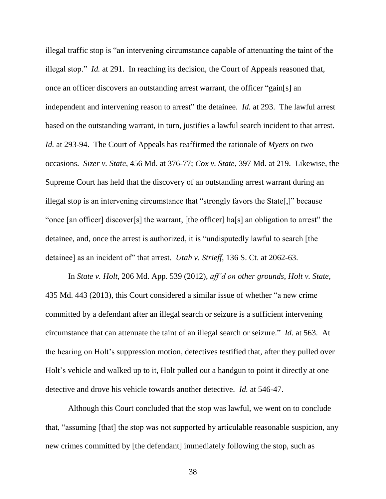illegal traffic stop is "an intervening circumstance capable of attenuating the taint of the illegal stop." *Id.* at 291. In reaching its decision, the Court of Appeals reasoned that, once an officer discovers an outstanding arrest warrant, the officer "gain[s] an independent and intervening reason to arrest" the detainee. *Id.* at 293. The lawful arrest based on the outstanding warrant, in turn, justifies a lawful search incident to that arrest. *Id.* at 293-94. The Court of Appeals has reaffirmed the rationale of *Myers* on two occasions. *Sizer v. State*, 456 Md. at 376-77; *Cox v. State*, 397 Md. at 219. Likewise, the Supreme Court has held that the discovery of an outstanding arrest warrant during an illegal stop is an intervening circumstance that "strongly favors the State[,]" because "once [an officer] discover[s] the warrant, [the officer] ha[s] an obligation to arrest" the detainee, and, once the arrest is authorized, it is "undisputedly lawful to search [the detainee] as an incident of" that arrest. *Utah v. Strieff*, 136 S. Ct. at 2062-63.

In *State v. Holt*, 206 Md. App. 539 (2012), *aff'd on other grounds*, *Holt v. State*, 435 Md. 443 (2013), this Court considered a similar issue of whether "a new crime committed by a defendant after an illegal search or seizure is a sufficient intervening circumstance that can attenuate the taint of an illegal search or seizure." *Id.* at 563. At the hearing on Holt's suppression motion, detectives testified that, after they pulled over Holt's vehicle and walked up to it, Holt pulled out a handgun to point it directly at one detective and drove his vehicle towards another detective. *Id.* at 546-47.

Although this Court concluded that the stop was lawful, we went on to conclude that, "assuming [that] the stop was not supported by articulable reasonable suspicion, any new crimes committed by [the defendant] immediately following the stop, such as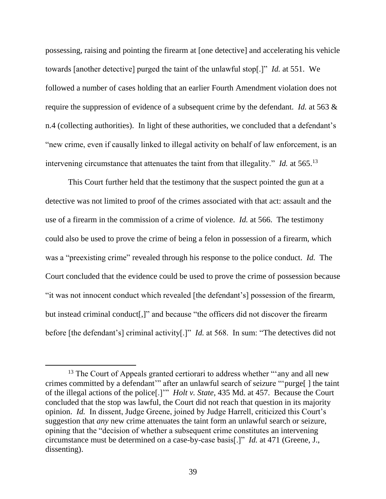possessing, raising and pointing the firearm at [one detective] and accelerating his vehicle towards [another detective] purged the taint of the unlawful stop[.]" *Id.* at 551. We followed a number of cases holding that an earlier Fourth Amendment violation does not require the suppression of evidence of a subsequent crime by the defendant. *Id.* at 563 & n.4 (collecting authorities). In light of these authorities, we concluded that a defendant's "new crime, even if causally linked to illegal activity on behalf of law enforcement, is an intervening circumstance that attenuates the taint from that illegality." *Id.* at 565.<sup>13</sup>

This Court further held that the testimony that the suspect pointed the gun at a detective was not limited to proof of the crimes associated with that act: assault and the use of a firearm in the commission of a crime of violence. *Id.* at 566. The testimony could also be used to prove the crime of being a felon in possession of a firearm, which was a "preexisting crime" revealed through his response to the police conduct. *Id.* The Court concluded that the evidence could be used to prove the crime of possession because "it was not innocent conduct which revealed [the defendant's] possession of the firearm, but instead criminal conduct[,]" and because "the officers did not discover the firearm before [the defendant's] criminal activity[.]" *Id.* at 568. In sum: "The detectives did not

<sup>&</sup>lt;sup>13</sup> The Court of Appeals granted certiorari to address whether "'any and all new crimes committed by a defendant'" after an unlawful search of seizure "'purge[ ] the taint of the illegal actions of the police[.]'" *Holt v. State*, 435 Md. at 457. Because the Court concluded that the stop was lawful, the Court did not reach that question in its majority opinion. *Id.* In dissent, Judge Greene, joined by Judge Harrell, criticized this Court's suggestion that *any* new crime attenuates the taint form an unlawful search or seizure, opining that the "decision of whether a subsequent crime constitutes an intervening circumstance must be determined on a case-by-case basis[.]" *Id.* at 471 (Greene, J., dissenting).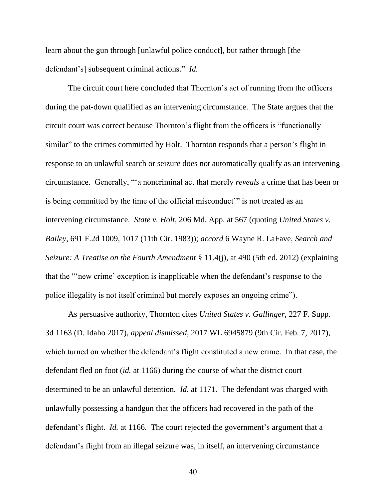learn about the gun through [unlawful police conduct], but rather through [the defendant's] subsequent criminal actions." *Id.*

The circuit court here concluded that Thornton's act of running from the officers during the pat-down qualified as an intervening circumstance. The State argues that the circuit court was correct because Thornton's flight from the officers is "functionally similar" to the crimes committed by Holt. Thornton responds that a person's flight in response to an unlawful search or seizure does not automatically qualify as an intervening circumstance. Generally, "'a noncriminal act that merely *reveals* a crime that has been or is being committed by the time of the official misconduct'" is not treated as an intervening circumstance. *State v. Holt*, 206 Md. App. at 567 (quoting *United States v. Bailey*, 691 F.2d 1009, 1017 (11th Cir. 1983)); *accord* 6 Wayne R. LaFave, *Search and Seizure: A Treatise on the Fourth Amendment* § 11.4(j), at 490 (5th ed. 2012) (explaining that the "'new crime' exception is inapplicable when the defendant's response to the police illegality is not itself criminal but merely exposes an ongoing crime").

As persuasive authority, Thornton cites *United States v. Gallinger*, 227 F. Supp. 3d 1163 (D. Idaho 2017), *appeal dismissed*, 2017 WL 6945879 (9th Cir. Feb. 7, 2017), which turned on whether the defendant's flight constituted a new crime. In that case, the defendant fled on foot (*id.* at 1166) during the course of what the district court determined to be an unlawful detention. *Id.* at 1171. The defendant was charged with unlawfully possessing a handgun that the officers had recovered in the path of the defendant's flight. *Id.* at 1166. The court rejected the government's argument that a defendant's flight from an illegal seizure was, in itself, an intervening circumstance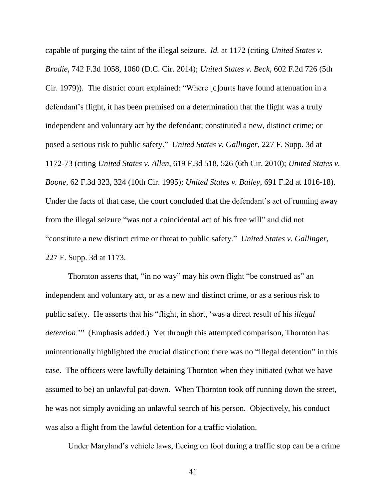capable of purging the taint of the illegal seizure. *Id.* at 1172 (citing *United States v. Brodie*, 742 F.3d 1058, 1060 (D.C. Cir. 2014); *United States v. Beck*, 602 F.2d 726 (5th Cir. 1979)). The district court explained: "Where [c]ourts have found attenuation in a defendant's flight, it has been premised on a determination that the flight was a truly independent and voluntary act by the defendant; constituted a new, distinct crime; or posed a serious risk to public safety." *United States v. Gallinger*, 227 F. Supp. 3d at 1172-73 (citing *United States v. Allen*, 619 F.3d 518, 526 (6th Cir. 2010); *United States v. Boone*, 62 F.3d 323, 324 (10th Cir. 1995); *United States v. Bailey*, 691 F.2d at 1016-18). Under the facts of that case, the court concluded that the defendant's act of running away from the illegal seizure "was not a coincidental act of his free will" and did not "constitute a new distinct crime or threat to public safety." *United States v. Gallinger*, 227 F. Supp. 3d at 1173.

Thornton asserts that, "in no way" may his own flight "be construed as" an independent and voluntary act, or as a new and distinct crime, or as a serious risk to public safety. He asserts that his "flight, in short, 'was a direct result of his *illegal detention*.'" (Emphasis added.) Yet through this attempted comparison, Thornton has unintentionally highlighted the crucial distinction: there was no "illegal detention" in this case. The officers were lawfully detaining Thornton when they initiated (what we have assumed to be) an unlawful pat-down. When Thornton took off running down the street, he was not simply avoiding an unlawful search of his person. Objectively, his conduct was also a flight from the lawful detention for a traffic violation.

Under Maryland's vehicle laws, fleeing on foot during a traffic stop can be a crime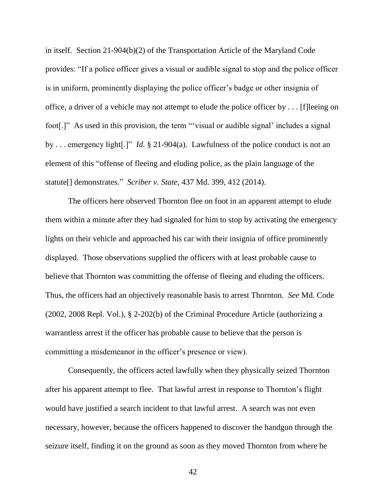in itself. Section 21-904(b)(2) of the Transportation Article of the Maryland Code provides: "If a police officer gives a visual or audible signal to stop and the police officer is in uniform, prominently displaying the police officer's badge or other insignia of office, a driver of a vehicle may not attempt to elude the police officer by . . . [f]leeing on foot[.]" As used in this provision, the term "'visual or audible signal' includes a signal by . . . emergency light[.]" *Id.* § 21-904(a). Lawfulness of the police conduct is not an element of this "offense of fleeing and eluding police, as the plain language of the statute[] demonstrates." *Scriber v. State*, 437 Md. 399, 412 (2014).

The officers here observed Thornton flee on foot in an apparent attempt to elude them within a minute after they had signaled for him to stop by activating the emergency lights on their vehicle and approached his car with their insignia of office prominently displayed. Those observations supplied the officers with at least probable cause to believe that Thornton was committing the offense of fleeing and eluding the officers. Thus, the officers had an objectively reasonable basis to arrest Thornton. *See* Md. Code (2002, 2008 Repl. Vol.), § 2-202(b) of the Criminal Procedure Article (authorizing a warrantless arrest if the officer has probable cause to believe that the person is committing a misdemeanor in the officer's presence or view).

Consequently, the officers acted lawfully when they physically seized Thornton after his apparent attempt to flee. That lawful arrest in response to Thornton's flight would have justified a search incident to that lawful arrest. A search was not even necessary, however, because the officers happened to discover the handgun through the seizure itself, finding it on the ground as soon as they moved Thornton from where he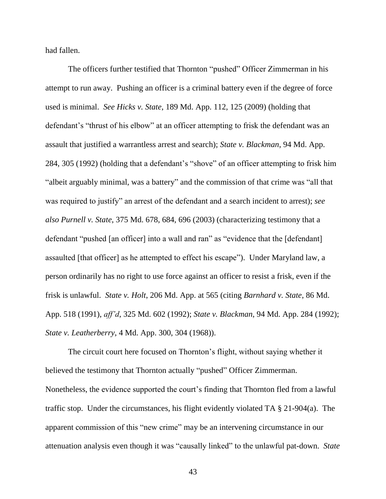had fallen.

The officers further testified that Thornton "pushed" Officer Zimmerman in his attempt to run away. Pushing an officer is a criminal battery even if the degree of force used is minimal. *See Hicks v. State*, 189 Md. App. 112, 125 (2009) (holding that defendant's "thrust of his elbow" at an officer attempting to frisk the defendant was an assault that justified a warrantless arrest and search); *State v. Blackman*, 94 Md. App. 284, 305 (1992) (holding that a defendant's "shove" of an officer attempting to frisk him "albeit arguably minimal, was a battery" and the commission of that crime was "all that was required to justify" an arrest of the defendant and a search incident to arrest); *see also Purnell v. State*, 375 Md. 678, 684, 696 (2003) (characterizing testimony that a defendant "pushed [an officer] into a wall and ran" as "evidence that the [defendant] assaulted [that officer] as he attempted to effect his escape"). Under Maryland law, a person ordinarily has no right to use force against an officer to resist a frisk, even if the frisk is unlawful. *State v. Holt*, 206 Md. App. at 565 (citing *Barnhard v. State*, 86 Md. App. 518 (1991), *aff'd*, 325 Md. 602 (1992); *State v. Blackman*, 94 Md. App. 284 (1992); *State v. Leatherberry*, 4 Md. App. 300, 304 (1968)).

The circuit court here focused on Thornton's flight, without saying whether it believed the testimony that Thornton actually "pushed" Officer Zimmerman. Nonetheless, the evidence supported the court's finding that Thornton fled from a lawful traffic stop. Under the circumstances, his flight evidently violated TA § 21-904(a). The apparent commission of this "new crime" may be an intervening circumstance in our attenuation analysis even though it was "causally linked" to the unlawful pat-down. *State*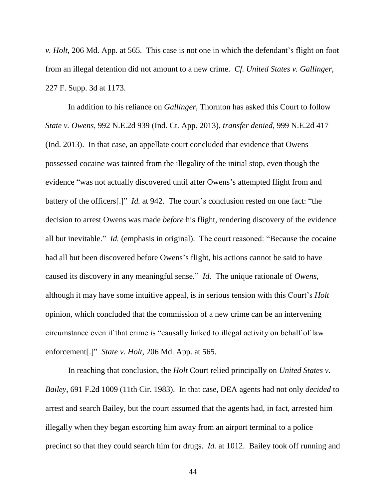*v. Holt*, 206 Md. App. at 565. This case is not one in which the defendant's flight on foot from an illegal detention did not amount to a new crime. *Cf. United States v. Gallinger*, 227 F. Supp. 3d at 1173.

In addition to his reliance on *Gallinger*, Thornton has asked this Court to follow *State v. Owens*, 992 N.E.2d 939 (Ind. Ct. App. 2013), *transfer denied*, 999 N.E.2d 417 (Ind. 2013). In that case, an appellate court concluded that evidence that Owens possessed cocaine was tainted from the illegality of the initial stop, even though the evidence "was not actually discovered until after Owens's attempted flight from and battery of the officers[.]" *Id.* at 942. The court's conclusion rested on one fact: "the decision to arrest Owens was made *before* his flight, rendering discovery of the evidence all but inevitable." *Id.* (emphasis in original).The court reasoned: "Because the cocaine had all but been discovered before Owens's flight, his actions cannot be said to have caused its discovery in any meaningful sense." *Id.* The unique rationale of *Owens*, although it may have some intuitive appeal, is in serious tension with this Court's *Holt*  opinion, which concluded that the commission of a new crime can be an intervening circumstance even if that crime is "causally linked to illegal activity on behalf of law enforcement[.]" *State v. Holt*, 206 Md. App. at 565.

In reaching that conclusion, the *Holt* Court relied principally on *United States v. Bailey*, 691 F.2d 1009 (11th Cir. 1983). In that case, DEA agents had not only *decided* to arrest and search Bailey, but the court assumed that the agents had, in fact, arrested him illegally when they began escorting him away from an airport terminal to a police precinct so that they could search him for drugs. *Id.* at 1012. Bailey took off running and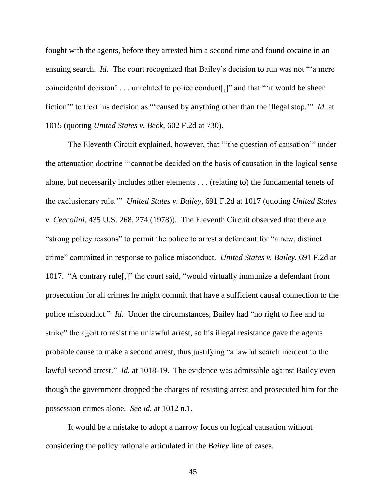fought with the agents, before they arrested him a second time and found cocaine in an ensuing search. *Id.* The court recognized that Bailey's decision to run was not "a mere coincidental decision' . . . unrelated to police conduct[,]" and that "'it would be sheer fiction'" to treat his decision as "'caused by anything other than the illegal stop.'" *Id.* at 1015 (quoting *United States v. Beck*, 602 F.2d at 730).

The Eleventh Circuit explained, however, that "'the question of causation'" under the attenuation doctrine "'cannot be decided on the basis of causation in the logical sense alone, but necessarily includes other elements . . . (relating to) the fundamental tenets of the exclusionary rule.'" *United States v. Bailey*, 691 F.2d at 1017 (quoting *United States v. Ceccolini*, 435 U.S. 268, 274 (1978)). The Eleventh Circuit observed that there are "strong policy reasons" to permit the police to arrest a defendant for "a new, distinct crime" committed in response to police misconduct. *United States v. Bailey*, 691 F.2d at 1017. "A contrary rule[,]" the court said, "would virtually immunize a defendant from prosecution for all crimes he might commit that have a sufficient causal connection to the police misconduct." *Id.* Under the circumstances, Bailey had "no right to flee and to strike" the agent to resist the unlawful arrest, so his illegal resistance gave the agents probable cause to make a second arrest, thus justifying "a lawful search incident to the lawful second arrest." *Id.* at 1018-19. The evidence was admissible against Bailey even though the government dropped the charges of resisting arrest and prosecuted him for the possession crimes alone. *See id.* at 1012 n.1.

It would be a mistake to adopt a narrow focus on logical causation without considering the policy rationale articulated in the *Bailey* line of cases.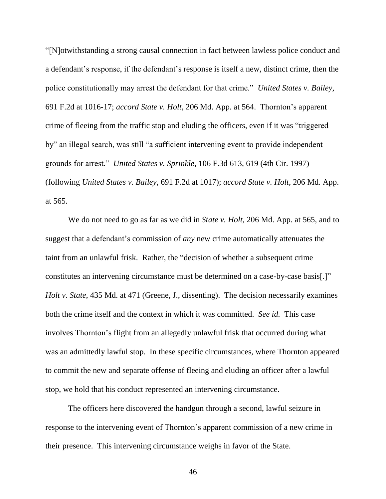"[N]otwithstanding a strong causal connection in fact between lawless police conduct and a defendant's response, if the defendant's response is itself a new, distinct crime, then the police constitutionally may arrest the defendant for that crime." *United States v. Bailey*, 691 F.2d at 1016-17; *accord State v. Holt*, 206 Md. App. at 564. Thornton's apparent crime of fleeing from the traffic stop and eluding the officers, even if it was "triggered by" an illegal search, was still "a sufficient intervening event to provide independent grounds for arrest." *United States v. Sprinkle*, 106 F.3d 613, 619 (4th Cir. 1997) (following *United States v. Bailey*, 691 F.2d at 1017); *accord State v. Holt*, 206 Md. App. at 565.

We do not need to go as far as we did in *State v. Holt*, 206 Md. App. at 565, and to suggest that a defendant's commission of *any* new crime automatically attenuates the taint from an unlawful frisk. Rather, the "decision of whether a subsequent crime constitutes an intervening circumstance must be determined on a case-by-case basis[.]" *Holt v. State*, 435 Md. at 471 (Greene, J., dissenting). The decision necessarily examines both the crime itself and the context in which it was committed. *See id.* This case involves Thornton's flight from an allegedly unlawful frisk that occurred during what was an admittedly lawful stop. In these specific circumstances, where Thornton appeared to commit the new and separate offense of fleeing and eluding an officer after a lawful stop, we hold that his conduct represented an intervening circumstance.

The officers here discovered the handgun through a second, lawful seizure in response to the intervening event of Thornton's apparent commission of a new crime in their presence. This intervening circumstance weighs in favor of the State.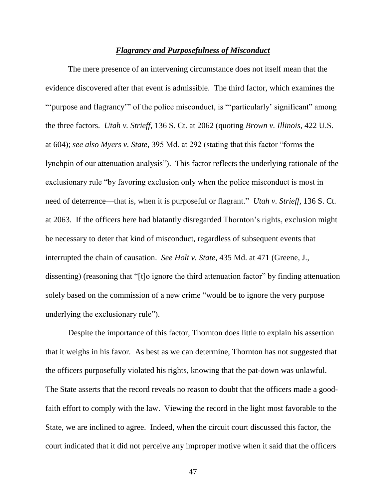#### *Flagrancy and Purposefulness of Misconduct*

The mere presence of an intervening circumstance does not itself mean that the evidence discovered after that event is admissible. The third factor, which examines the "'purpose and flagrancy'" of the police misconduct, is "'particularly' significant" among the three factors. *Utah v. Strieff*, 136 S. Ct. at 2062 (quoting *Brown v. Illinois*, 422 U.S. at 604); *see also Myers v. State*, 395 Md. at 292 (stating that this factor "forms the lynchpin of our attenuation analysis"). This factor reflects the underlying rationale of the exclusionary rule "by favoring exclusion only when the police misconduct is most in need of deterrence—that is, when it is purposeful or flagrant." *Utah v. Strieff*, 136 S. Ct. at 2063. If the officers here had blatantly disregarded Thornton's rights, exclusion might be necessary to deter that kind of misconduct, regardless of subsequent events that interrupted the chain of causation. *See Holt v. State*, 435 Md. at 471 (Greene, J., dissenting) (reasoning that "[t]o ignore the third attenuation factor" by finding attenuation solely based on the commission of a new crime "would be to ignore the very purpose underlying the exclusionary rule").

Despite the importance of this factor, Thornton does little to explain his assertion that it weighs in his favor. As best as we can determine, Thornton has not suggested that the officers purposefully violated his rights, knowing that the pat-down was unlawful. The State asserts that the record reveals no reason to doubt that the officers made a goodfaith effort to comply with the law. Viewing the record in the light most favorable to the State, we are inclined to agree. Indeed, when the circuit court discussed this factor, the court indicated that it did not perceive any improper motive when it said that the officers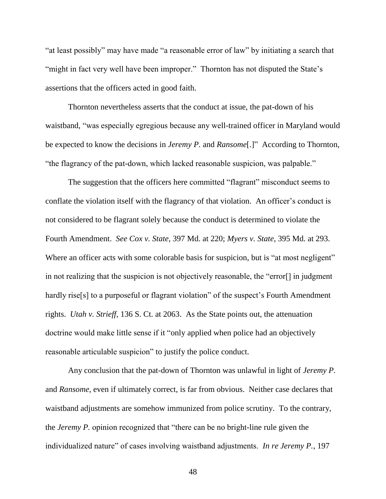"at least possibly" may have made "a reasonable error of law" by initiating a search that "might in fact very well have been improper." Thornton has not disputed the State's assertions that the officers acted in good faith.

Thornton nevertheless asserts that the conduct at issue, the pat-down of his waistband, "was especially egregious because any well-trained officer in Maryland would be expected to know the decisions in *Jeremy P.* and *Ransome*[.]" According to Thornton, "the flagrancy of the pat-down, which lacked reasonable suspicion, was palpable."

The suggestion that the officers here committed "flagrant" misconduct seems to conflate the violation itself with the flagrancy of that violation. An officer's conduct is not considered to be flagrant solely because the conduct is determined to violate the Fourth Amendment. *See Cox v. State*, 397 Md. at 220; *Myers v. State*, 395 Md. at 293. Where an officer acts with some colorable basis for suspicion, but is "at most negligent" in not realizing that the suspicion is not objectively reasonable, the "error[] in judgment hardly rise<sup>[s]</sup> to a purposeful or flagrant violation" of the suspect's Fourth Amendment rights. *Utah v. Strieff*, 136 S. Ct. at 2063. As the State points out, the attenuation doctrine would make little sense if it "only applied when police had an objectively reasonable articulable suspicion" to justify the police conduct.

Any conclusion that the pat-down of Thornton was unlawful in light of *Jeremy P.* and *Ransome*, even if ultimately correct, is far from obvious. Neither case declares that waistband adjustments are somehow immunized from police scrutiny. To the contrary, the *Jeremy P.* opinion recognized that "there can be no bright-line rule given the individualized nature" of cases involving waistband adjustments. *In re Jeremy P.*, 197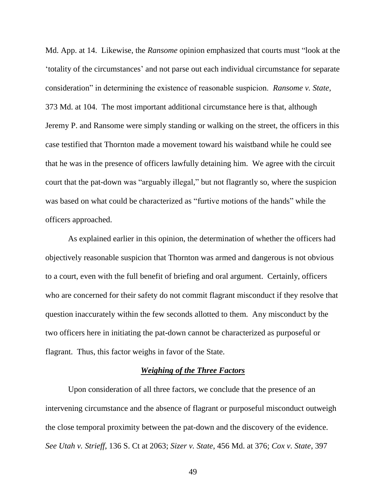Md. App. at 14. Likewise, the *Ransome* opinion emphasized that courts must "look at the 'totality of the circumstances' and not parse out each individual circumstance for separate consideration" in determining the existence of reasonable suspicion. *Ransome v. State*, 373 Md. at 104. The most important additional circumstance here is that, although Jeremy P. and Ransome were simply standing or walking on the street, the officers in this case testified that Thornton made a movement toward his waistband while he could see that he was in the presence of officers lawfully detaining him. We agree with the circuit court that the pat-down was "arguably illegal," but not flagrantly so, where the suspicion was based on what could be characterized as "furtive motions of the hands" while the officers approached.

As explained earlier in this opinion, the determination of whether the officers had objectively reasonable suspicion that Thornton was armed and dangerous is not obvious to a court, even with the full benefit of briefing and oral argument. Certainly, officers who are concerned for their safety do not commit flagrant misconduct if they resolve that question inaccurately within the few seconds allotted to them. Any misconduct by the two officers here in initiating the pat-down cannot be characterized as purposeful or flagrant. Thus, this factor weighs in favor of the State.

## *Weighing of the Three Factors*

Upon consideration of all three factors, we conclude that the presence of an intervening circumstance and the absence of flagrant or purposeful misconduct outweigh the close temporal proximity between the pat-down and the discovery of the evidence. *See Utah v. Strieff*, 136 S. Ct at 2063; *Sizer v. State*, 456 Md. at 376; *Cox v. State*, 397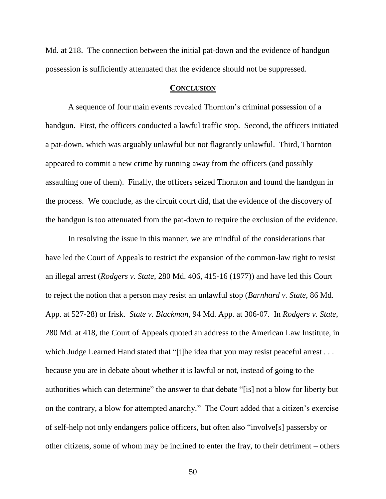Md. at 218. The connection between the initial pat-down and the evidence of handgun possession is sufficiently attenuated that the evidence should not be suppressed.

## **CONCLUSION**

A sequence of four main events revealed Thornton's criminal possession of a handgun. First, the officers conducted a lawful traffic stop. Second, the officers initiated a pat-down, which was arguably unlawful but not flagrantly unlawful. Third, Thornton appeared to commit a new crime by running away from the officers (and possibly assaulting one of them). Finally, the officers seized Thornton and found the handgun in the process. We conclude, as the circuit court did, that the evidence of the discovery of the handgun is too attenuated from the pat-down to require the exclusion of the evidence.

In resolving the issue in this manner, we are mindful of the considerations that have led the Court of Appeals to restrict the expansion of the common-law right to resist an illegal arrest (*Rodgers v. State*, 280 Md. 406, 415-16 (1977)) and have led this Court to reject the notion that a person may resist an unlawful stop (*Barnhard v. State*, 86 Md. App. at 527-28) or frisk. *State v. Blackman*, 94 Md. App. at 306-07. In *Rodgers v. State*, 280 Md. at 418, the Court of Appeals quoted an address to the American Law Institute, in which Judge Learned Hand stated that "[t]he idea that you may resist peaceful arrest . . . because you are in debate about whether it is lawful or not, instead of going to the authorities which can determine" the answer to that debate "[is] not a blow for liberty but on the contrary, a blow for attempted anarchy." The Court added that a citizen's exercise of self-help not only endangers police officers, but often also "involve[s] passersby or other citizens, some of whom may be inclined to enter the fray, to their detriment – others